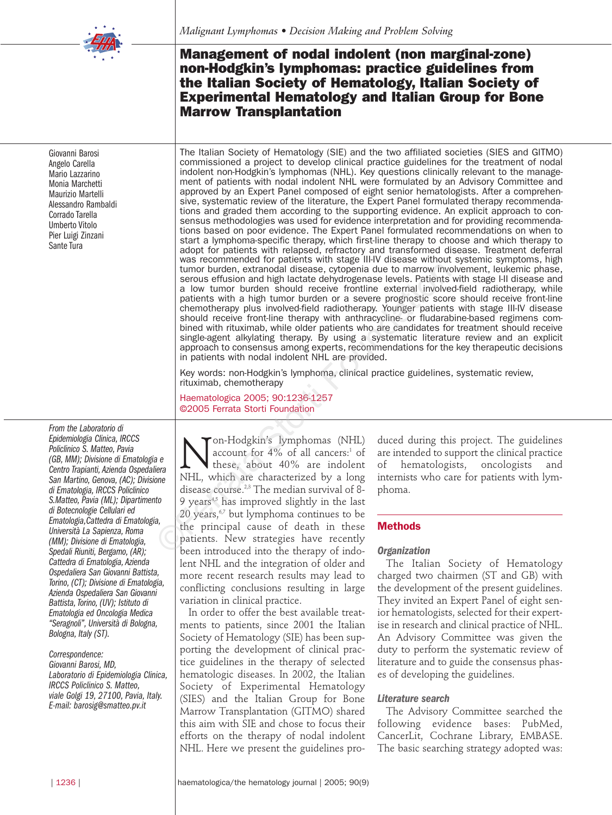

Giovanni Barosi Angelo Carella Mario Lazzarino Monia Marchetti Maurizio Martelli Alessandro Rambaldi Corrado Tarella Umberto Vitolo Pier Luigi Zinzani Sante Tura

*From the Laboratorio di Epidemiologia Clinica, IRCCS Policlinico S. Matteo, Pavia (GB, MM); Divisione di Ematologia e Centro Trapianti, Azienda Ospedaliera San Martino, Genova, (AC); Divisione di Ematologia, IRCCS Policlinico S.Matteo, Pavia (ML); Dipartimento di Botecnologie Cellulari ed Ematologia,Cattedra di Ematologia, Università La Sapienza, Roma (MM); Divisione di Ematologia, Spedali Riuniti, Bergamo, (AR); Cattedra di Ematologia, Azienda Ospedaliera San Giovanni Battista, Torino, (CT); Divisione di Ematologia, Azienda Ospedaliera San Giovanni Battista, Torino, (UV); Istituto di Ematologia ed Oncologia Medica "Seragnoli", Università di Bologna, Bologna, Italy (ST).*

#### *Correspondence:*

*Giovanni Barosi, MD, Laboratorio di Epidemiologia Clinica, IRCCS Policlinico S. Matteo, viale Golgi 19, 27100, Pavia, Italy. E-mail: barosig@smatteo.pv.it*

# **Management of nodal indolent (non marginal-zone) non-Hodgkin's lymphomas: practice guidelines from the Italian Society of Hematology, Italian Society of Experimental Hematology and Italian Group for Bone Marrow Transplantation**

The Italian Society of Hematology (SIE) and the two affiliated societies (SIES and GITMO) commissioned a project to develop clinical practice guidelines for the treatment of nodal indolent non-Hodgkin's lymphomas (NHL). Key questions clinically relevant to the management of patients with nodal indolent NHL were formulated by an Advisory Committee and approved by an Expert Panel composed of eight senior hematologists. After a comprehensive, systematic review of the literature, the Expert Panel formulated therapy recommendations and graded them according to the supporting evidence. An explicit approach to consensus methodologies was used for evidence interpretation and for providing recommendations based on poor evidence. The Expert Panel formulated recommendations on when to start a lymphoma-specific therapy, which first-line therapy to choose and which therapy to adopt for patients with relapsed, refractory and transformed disease. Treatment deferral was recommended for patients with stage III-IV disease without systemic symptoms, high tumor burden, extranodal disease, cytopenia due to marrow involvement, leukemic phase, serous effusion and high lactate dehydrogenase levels. Patients with stage I-II disease and a low tumor burden should receive frontline external involved-field radiotherapy, while patients with a high tumor burden or a severe prognostic score should receive front-line chemotherapy plus involved-field radiotherapy. Younger patients with stage III-IV disease should receive front-line therapy with anthracycline- or fludarabine-based regimens combined with rituximab, while older patients who are candidates for treatment should receive single-agent alkylating therapy. By using a systematic literature review and an explicit approach to consensus among experts, recommendations for the key therapeutic decisions in patients with nodal indolent NHL are provided. tumor burden, extranodal disease, cytopenia due to marrow inversions effusion and high latate dehydrogenese levels. Pattents a low tumor burden should receive frontline external involved pattents with a high tumor burden o

Key words: non-Hodgkin's lymphoma, clinical practice guidelines, systematic review, rituximab, chemotherapy

Haematologica 2005; 90:1236-1257 ©2005 Ferrata Storti Foundation

Mon-Hodgkin's lymphomas (NHL)<br>account for 4% of all cancers:<sup>1</sup> of<br>these, about 40% are indolent<br>NHL which are characterized by a long account for 4% of all cancers:<sup>1</sup> of these, about 40% are indolent NHL, which are characterized by a long disease course.2,3 The median survival of 8- 9 years $4,5$  has improved slightly in the last 20 years, $67$  but lymphoma continues to be the principal cause of death in these patients. New strategies have recently been introduced into the therapy of indolent NHL and the integration of older and more recent research results may lead to conflicting conclusions resulting in large variation in clinical practice.

In order to offer the best available treatments to patients, since 2001 the Italian Society of Hematology (SIE) has been supporting the development of clinical practice guidelines in the therapy of selected hematologic diseases. In 2002, the Italian Society of Experimental Hematology (SIES) and the Italian Group for Bone Marrow Transplantation (GITMO) shared this aim with SIE and chose to focus their efforts on the therapy of nodal indolent NHL. Here we present the guidelines produced during this project. The guidelines are intended to support the clinical practice of hematologists, oncologists and internists who care for patients with lymphoma.

### **Methods**

#### *Organization*

The Italian Society of Hematology charged two chairmen (ST and GB) with the development of the present guidelines. They invited an Expert Panel of eight senior hematologists, selected for their expertise in research and clinical practice of NHL. An Advisory Committee was given the duty to perform the systematic review of literature and to guide the consensus phases of developing the guidelines.

#### *Literature search*

The Advisory Committee searched the following evidence bases: PubMed, CancerLit, Cochrane Library, EMBASE. The basic searching strategy adopted was: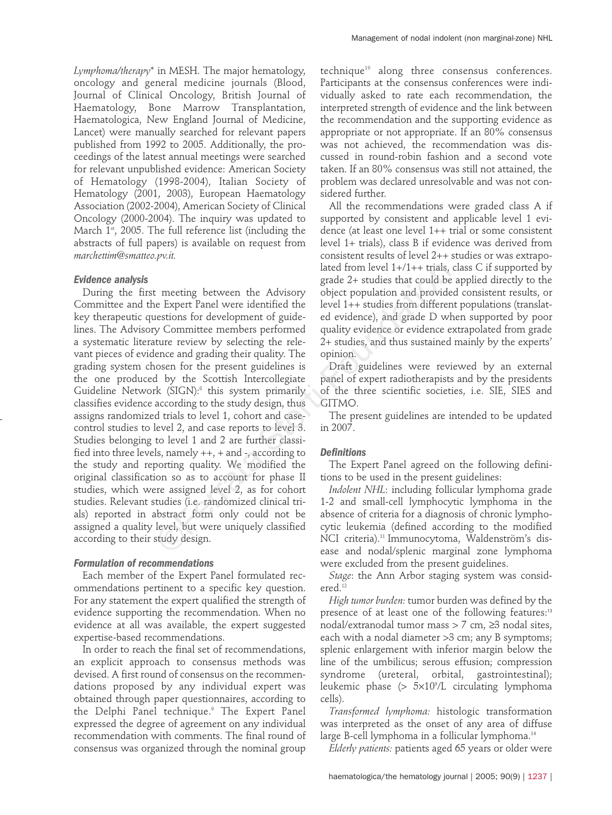*Lymphoma/therapy*\* in MESH. The major hematology, oncology and general medicine journals (Blood, Journal of Clinical Oncology, British Journal of Haematology, Bone Marrow Transplantation, Haematologica, New England Journal of Medicine, Lancet) were manually searched for relevant papers published from 1992 to 2005. Additionally, the proceedings of the latest annual meetings were searched for relevant unpublished evidence: American Society of Hematology (1998-2004), Italian Society of Hematology (2001, 2003), European Haematology Association (2002-2004), American Society of Clinical Oncology (2000-2004). The inquiry was updated to March  $1<sup>st</sup>$ , 2005. The full reference list (including the abstracts of full papers) is available on request from *marchettim@smatteo.pv.it.*

## *Evidence analysis*

During the first meeting between the Advisory Committee and the Expert Panel were identified the key therapeutic questions for development of guidelines. The Advisory Committee members performed a systematic literature review by selecting the relevant pieces of evidence and grading their quality. The grading system chosen for the present guidelines is the one produced by the Scottish Intercollegiate Guideline Network (SIGN):8 this system primarily classifies evidence according to the study design, thus assigns randomized trials to level 1, cohort and casecontrol studies to level 2, and case reports to level 3. Studies belonging to level 1 and 2 are further classified into three levels, namely ++, + and -, according to the study and reporting quality. We modified the original classification so as to account for phase II studies, which were assigned level 2, as for cohort studies. Relevant studies (i.e. randomized clinical trials) reported in abstract form only could not be assigned a quality level, but were uniquely classified according to their study design. lated from level  $1+/1++$  trials,<br>
grade 2+ studies that could be<br>
de Expert Panel were identified the level  $1++$  studies from differencestions for development of guide-<br>
level  $1++$  studies from differencestions for develo

# *Formulation of recommendations*

Each member of the Expert Panel formulated recommendations pertinent to a specific key question. For any statement the expert qualified the strength of evidence supporting the recommendation. When no evidence at all was available, the expert suggested expertise-based recommendations.

In order to reach the final set of recommendations, an explicit approach to consensus methods was devised. A first round of consensus on the recommendations proposed by any individual expert was obtained through paper questionnaires, according to the Delphi Panel technique.<sup>9</sup> The Expert Panel expressed the degree of agreement on any individual recommendation with comments. The final round of consensus was organized through the nominal group

technique10 along three consensus conferences. Participants at the consensus conferences were individually asked to rate each recommendation, the interpreted strength of evidence and the link between the recommendation and the supporting evidence as appropriate or not appropriate. If an 80% consensus was not achieved, the recommendation was discussed in round-robin fashion and a second vote taken. If an 80% consensus was still not attained, the problem was declared unresolvable and was not considered further.

All the recommendations were graded class A if supported by consistent and applicable level 1 evidence (at least one level 1++ trial or some consistent level 1+ trials), class B if evidence was derived from consistent results of level 2++ studies or was extrapolated from level  $1+/1++$  trials, class C if supported by grade 2+ studies that could be applied directly to the object population and provided consistent results, or level 1++ studies from different populations (translated evidence), and grade D when supported by poor quality evidence or evidence extrapolated from grade 2+ studies, and thus sustained mainly by the experts' opinion.

Draft guidelines were reviewed by an external panel of expert radiotherapists and by the presidents of the three scientific societies, i.e. SIE, SIES and GITMO.

The present guidelines are intended to be updated in 2007.

# *Definitions*

The Expert Panel agreed on the following definitions to be used in the present guidelines:

*Indolent NHL*: including follicular lymphoma grade 1-2 and small-cell lymphocytic lymphoma in the absence of criteria for a diagnosis of chronic lymphocytic leukemia (defined according to the modified NCI criteria).<sup>11</sup> Immunocytoma, Waldenström's disease and nodal/splenic marginal zone lymphoma were excluded from the present guidelines.

*Stage*: the Ann Arbor staging system was considered.<sup>12</sup>

*High tumor burden:* tumor burden was defined by the presence of at least one of the following features:<sup>13</sup> nodal/extranodal tumor mass > 7 cm, ≥3 nodal sites, each with a nodal diameter >3 cm; any B symptoms; splenic enlargement with inferior margin below the line of the umbilicus; serous effusion; compression syndrome (ureteral, orbital, gastrointestinal); leukemic phase (> 5¥109 /L circulating lymphoma cells).

*Transformed lymphoma:* histologic transformation was interpreted as the onset of any area of diffuse large B-cell lymphoma in a follicular lymphoma.<sup>14</sup>

*Elderly patients:* patients aged 65 years or older were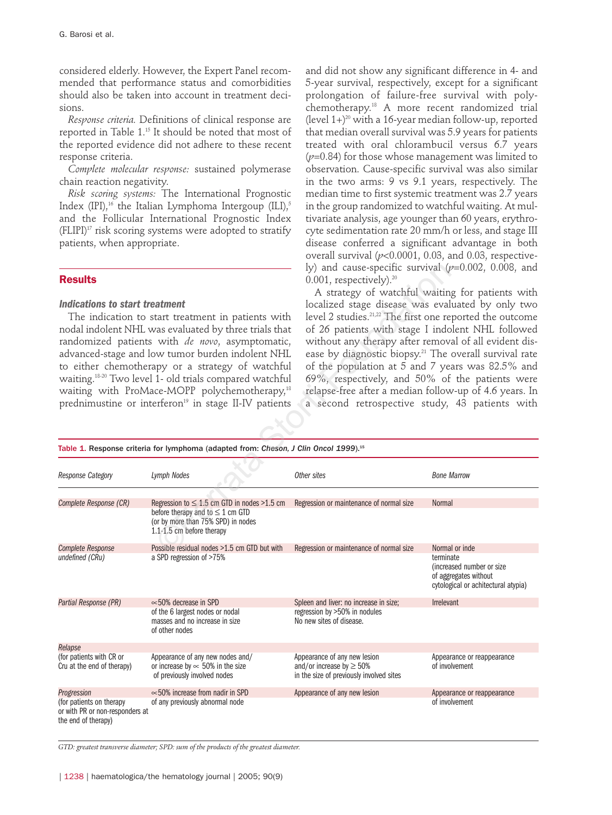considered elderly. However, the Expert Panel recommended that performance status and comorbidities should also be taken into account in treatment decisions.

*Response criteria.* Definitions of clinical response are reported in Table 1.15 It should be noted that most of the reported evidence did not adhere to these recent response criteria.

*Complete molecular response:* sustained polymerase chain reaction negativity.

*Risk scoring systems:* The International Prognostic Index (IPI),<sup>16</sup> the Italian Lymphoma Intergoup (ILI),<sup>5</sup> and the Follicular International Prognostic Index  $(ELIPI)^{17}$  risk scoring systems were adopted to stratify patients, when appropriate.

#### **Results**

#### *Indications to start treatment*

and did not show any significant difference in 4- and 5-year survival, respectively, except for a significant prolongation of failure-free survival with polychemotherapy.18 A more recent randomized trial (level  $1+$ )<sup>20</sup> with a 16-year median follow-up, reported that median overall survival was 5.9 years for patients treated with oral chlorambucil versus 6.7 years  $(p=0.84)$  for those whose management was limited to observation. Cause-specific survival was also similar in the two arms: 9 vs 9.1 years, respectively. The median time to first systemic treatment was 2.7 years in the group randomized to watchful waiting. At multivariate analysis, age younger than 60 years, erythrocyte sedimentation rate 20 mm/h or less, and stage III disease conferred a significant advantage in both overall survival (*p*<0.0001, 0.03, and 0.03, respectively) and cause-specific survival (*p*=0.002, 0.008, and 0.001, respectively).<sup>20</sup>

| <b>Results</b><br>Indications to start treatment<br>The indication to start treatment in patients with<br>nodal indolent NHL was evaluated by three trials that<br>randomized patients with de novo, asymptomatic,<br>advanced-stage and low tumor burden indolent NHL<br>to either chemotherapy or a strategy of watchful<br>waiting. <sup>18-20</sup> Two level 1- old trials compared watchful<br>waiting with ProMace-MOPP polychemotherapy, <sup>18</sup><br>prednimustine or interferon <sup>19</sup> in stage II-IV patients |                                                                                                                                                              | ly) and cause-specific survival $(p=0.002, 0.008,$ and<br>$0.001$ , respectively). $20$<br>A strategy of watchful waiting for patients with<br>localized stage disease was evaluated by only two<br>level 2 studies. <sup>21,22</sup> The first one reported the outcome<br>of 26 patients with stage I indolent NHL followed<br>without any therapy after removal of all evident dis-<br>ease by diagnostic biopsy. <sup>21</sup> The overall survival rate<br>of the population at 5 and 7 years was 82.5% and<br>69%, respectively, and 50% of the patients were<br>relapse-free after a median follow-up of 4.6 years. In<br>a second retrospective study, 43 patients with |                                                                                                                          |
|-------------------------------------------------------------------------------------------------------------------------------------------------------------------------------------------------------------------------------------------------------------------------------------------------------------------------------------------------------------------------------------------------------------------------------------------------------------------------------------------------------------------------------------|--------------------------------------------------------------------------------------------------------------------------------------------------------------|---------------------------------------------------------------------------------------------------------------------------------------------------------------------------------------------------------------------------------------------------------------------------------------------------------------------------------------------------------------------------------------------------------------------------------------------------------------------------------------------------------------------------------------------------------------------------------------------------------------------------------------------------------------------------------|--------------------------------------------------------------------------------------------------------------------------|
|                                                                                                                                                                                                                                                                                                                                                                                                                                                                                                                                     | Table 1. Response criteria for lymphoma (adapted from: Cheson, J Clin Oncol 1999). <sup>15</sup>                                                             |                                                                                                                                                                                                                                                                                                                                                                                                                                                                                                                                                                                                                                                                                 |                                                                                                                          |
| Response Category                                                                                                                                                                                                                                                                                                                                                                                                                                                                                                                   | <b>Lymph Nodes</b>                                                                                                                                           | Other sites                                                                                                                                                                                                                                                                                                                                                                                                                                                                                                                                                                                                                                                                     | <b>Bone Marrow</b>                                                                                                       |
| Complete Response (CR)                                                                                                                                                                                                                                                                                                                                                                                                                                                                                                              | Regression to $\leq 1.5$ cm GTD in nodes >1.5 cm<br>before therapy and to $\leq$ 1 cm GTD<br>(or by more than 75% SPD) in nodes<br>1.1-1.5 cm before therapy | Regression or maintenance of normal size                                                                                                                                                                                                                                                                                                                                                                                                                                                                                                                                                                                                                                        | <b>Normal</b>                                                                                                            |
| <b>Complete Response</b><br>undefined (CRu)                                                                                                                                                                                                                                                                                                                                                                                                                                                                                         | Possible residual nodes >1.5 cm GTD but with<br>a SPD regression of >75%                                                                                     | Regression or maintenance of normal size                                                                                                                                                                                                                                                                                                                                                                                                                                                                                                                                                                                                                                        | Normal or inde<br>terminate<br>(increased number or size<br>of aggregates without<br>cytological or achitectural atypia) |
| Partial Response (PR)                                                                                                                                                                                                                                                                                                                                                                                                                                                                                                               | $\approx$ 50% decrease in SPD<br>of the 6 largest nodes or nodal<br>masses and no increase in size<br>of other nodes                                         | Spleen and liver: no increase in size;<br>regression by >50% in nodules<br>No new sites of disease.                                                                                                                                                                                                                                                                                                                                                                                                                                                                                                                                                                             | <b>Irrelevant</b>                                                                                                        |
| Relapse                                                                                                                                                                                                                                                                                                                                                                                                                                                                                                                             |                                                                                                                                                              |                                                                                                                                                                                                                                                                                                                                                                                                                                                                                                                                                                                                                                                                                 |                                                                                                                          |
| (for patients with CR or<br>Cru at the end of therapy)                                                                                                                                                                                                                                                                                                                                                                                                                                                                              | Appearance of any new nodes and/<br>or increase by $\approx$ 50% in the size<br>of previously involved nodes                                                 | Appearance of any new lesion<br>and/or increase by $\geq 50\%$<br>in the size of previously involved sites                                                                                                                                                                                                                                                                                                                                                                                                                                                                                                                                                                      | Appearance or reappearance<br>of involvement                                                                             |
| Progression                                                                                                                                                                                                                                                                                                                                                                                                                                                                                                                         | $\approx$ 50% increase from nadir in SPD                                                                                                                     | Appearance of any new lesion                                                                                                                                                                                                                                                                                                                                                                                                                                                                                                                                                                                                                                                    | Appearance or reappearance                                                                                               |
| (for patients on therapy<br>or with PR or non-responders at<br>the end of therapy)                                                                                                                                                                                                                                                                                                                                                                                                                                                  | of any previously abnormal node                                                                                                                              |                                                                                                                                                                                                                                                                                                                                                                                                                                                                                                                                                                                                                                                                                 | of involvement                                                                                                           |

*GTD: greatest transverse diameter; SPD: sum of the products of the greatest diameter.*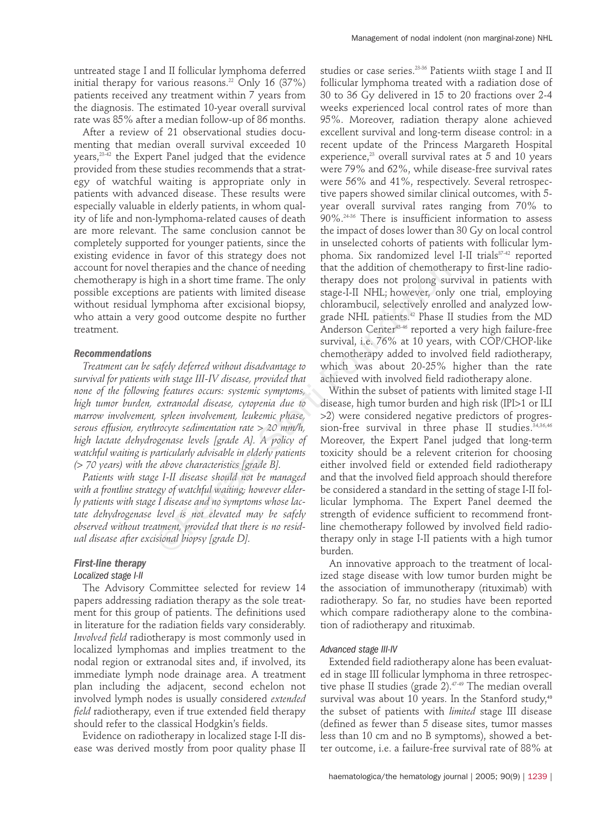untreated stage I and II follicular lymphoma deferred initial therapy for various reasons.<sup>22</sup> Only 16 (37%) patients received any treatment within 7 years from the diagnosis. The estimated 10-year overall survival rate was 85% after a median follow-up of 86 months.

After a review of 21 observational studies documenting that median overall survival exceeded 10 years,23-42 the Expert Panel judged that the evidence provided from these studies recommends that a strategy of watchful waiting is appropriate only in patients with advanced disease. These results were especially valuable in elderly patients, in whom quality of life and non-lymphoma-related causes of death are more relevant. The same conclusion cannot be completely supported for younger patients, since the existing evidence in favor of this strategy does not account for novel therapies and the chance of needing chemotherapy is high in a short time frame. The only possible exceptions are patients with limited disease without residual lymphoma after excisional biopsy, who attain a very good outcome despite no further treatment.

## *Recommendations*

*Treatment can be safely deferred without disadvantage to survival for patients with stage III-IV disease, provided that none of the following features occurs: systemic symptoms, high tumor burden, extranodal disease, cytopenia due to marrow involvement, spleen involvement, leukemic phase, serous effusion, erythrocyte sedimentation rate > 20 mm/h, high lactate dehydrogenase levels [grade A]. A policy of watchful waiting is particularly advisable in elderly patients (> 70 years) with the above characteristics [grade B].*

*Patients with stage I-II disease should not be managed with a frontline strategy of watchful waiting; however elderly patients with stage I disease and no symptoms whose lactate dehydrogenase level is not elevated may be safely observed without treatment, provided that there is no residual disease after excisional biopsy [grade D].*

# *First-line therapy Localized stage I-II*

The Advisory Committee selected for review 14 papers addressing radiation therapy as the sole treatment for this group of patients. The definitions used in literature for the radiation fields vary considerably. *Involved field* radiotherapy is most commonly used in localized lymphomas and implies treatment to the nodal region or extranodal sites and, if involved, its immediate lymph node drainage area. A treatment plan including the adjacent, second echelon not involved lymph nodes is usually considered *extended field* radiotherapy, even if true extended field therapy should refer to the classical Hodgkin's fields.

Evidence on radiotherapy in localized stage I-II disease was derived mostly from poor quality phase II studies or case series.<sup>23-36</sup> Patients wiith stage I and II follicular lymphoma treated with a radiation dose of 30 to 36 Gy delivered in 15 to 20 fractions over 2-4 weeks experienced local control rates of more than 95%. Moreover, radiation therapy alone achieved excellent survival and long-term disease control: in a recent update of the Princess Margareth Hospital experience, $^{23}$  overall survival rates at 5 and 10 years were 79% and 62%, while disease-free survival rates were 56% and 41%, respectively. Several retrospective papers showed similar clinical outcomes, with 5 year overall survival rates ranging from 70% to 90%.24-36 There is insufficient information to assess the impact of doses lower than 30 Gy on local control in unselected cohorts of patients with follicular lymphoma. Six randomized level I-II trials<sup>37-42</sup> reported that the addition of chemotherapy to first-line radiotherapy does not prolong survival in patients with stage-I-II NHL; however, only one trial, employing chlorambucil, selectively enrolled and analyzed lowgrade NHL patients.<sup>42</sup> Phase II studies from the MD Anderson Center43-46 reported a very high failure-free survival, i.e. 76% at 10 years, with COP/CHOP-like chemotherapy added to involved field radiotherapy, which was about 20-25% higher than the rate achieved with involved field radiotherapy alone.

Management of nodal indolent (non marginal-zone) NHL

Within the subset of patients with limited stage I-II disease, high tumor burden and high risk (IPI>1 or ILI >2) were considered negative predictors of progression-free survival in three phase II studies.<sup>34,36,46</sup> Moreover, the Expert Panel judged that long-term toxicity should be a relevent criterion for choosing either involved field or extended field radiotherapy and that the involved field approach should therefore be considered a standard in the setting of stage I-II follicular lymphoma. The Expert Panel deemed the strength of evidence sufficient to recommend frontline chemotherapy followed by involved field radiotherapy only in stage I-II patients with a high tumor burden. the the staple is and the chance of needing<br>
that the addition of chemothe<br>
igh in a short time frame. The only<br>
therapy does not prolong su<br>
stare patients with limited disease<br>
storting the excisional biopsy, chlorambuc

> An innovative approach to the treatment of localized stage disease with low tumor burden might be the association of immunotherapy (rituximab) with radiotherapy. So far, no studies have been reported which compare radiotherapy alone to the combination of radiotherapy and rituximab.

# *Advanced stage III-IV*

Extended field radiotherapy alone has been evaluated in stage III follicular lymphoma in three retrospective phase II studies (grade 2).<sup>47-49</sup> The median overall survival was about 10 years. In the Stanford study,<sup>49</sup> the subset of patients with *limited* stage III disease (defined as fewer than 5 disease sites, tumor masses less than 10 cm and no B symptoms), showed a better outcome, i.e. a failure-free survival rate of 88% at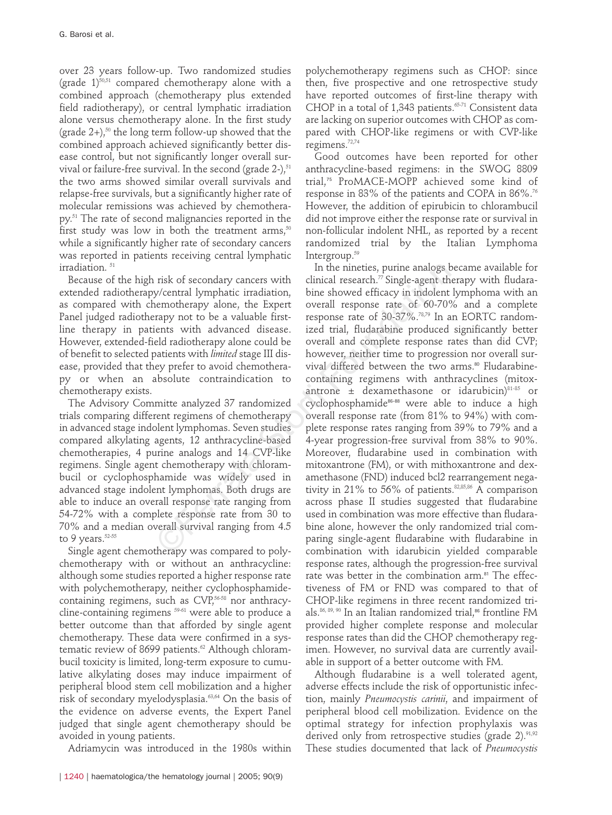over 23 years follow-up. Two randomized studies (grade  $1$ )<sup>50,51</sup> compared chemotherapy alone with a combined approach (chemotherapy plus extended field radiotherapy), or central lymphatic irradiation alone versus chemotherapy alone. In the first study (grade  $2+$ ),<sup>50</sup> the long term follow-up showed that the combined approach achieved significantly better disease control, but not significantly longer overall survival or failure-free survival. In the second (grade  $2$ -), $51$ the two arms showed similar overall survivals and relapse-free survivals, but a significantly higher rate of molecular remissions was achieved by chemotherapy.51 The rate of second malignancies reported in the first study was low in both the treatment arms, $50$ while a significantly higher rate of secondary cancers was reported in patients receiving central lymphatic irradiation.<sup>51</sup>

Because of the high risk of secondary cancers with extended radiotherapy/central lymphatic irradiation, as compared with chemotherapy alone, the Expert Panel judged radiotherapy not to be a valuable firstline therapy in patients with advanced disease. However, extended-field radiotherapy alone could be of benefit to selected patients with *limited* stage III disease, provided that they prefer to avoid chemotherapy or when an absolute contraindication to chemotherapy exists.

The Advisory Committe analyzed 37 randomized trials comparing different regimens of chemotherapy in advanced stage indolent lymphomas. Seven studies compared alkylating agents, 12 anthracycline-based chemotherapies, 4 purine analogs and 14 CVP-like regimens. Single agent chemotherapy with chlorambucil or cyclophosphamide was widely used in advanced stage indolent lymphomas. Both drugs are able to induce an overall response rate ranging from 54-72% with a complete response rate from 30 to 70% and a median overall survival ranging from 4.5 to 9 years.<sup>52-55</sup>

Single agent chemotherapy was compared to polychemotherapy with or without an anthracycline: although some studies reported a higher response rate with polychemotherapy, neither cyclophosphamidecontaining regimens, such as CVP,<sup>56-58</sup> nor anthracycline-containing regimens <sup>59-61</sup> were able to produce a better outcome than that afforded by single agent chemotherapy. These data were confirmed in a systematic review of 8699 patients.<sup>62</sup> Although chlorambucil toxicity is limited, long-term exposure to cumulative alkylating doses may induce impairment of peripheral blood stem cell mobilization and a higher risk of secondary myelodysplasia.<sup>63,64</sup> On the basis of the evidence on adverse events, the Expert Panel judged that single agent chemotherapy should be avoided in young patients.

Adriamycin was introduced in the 1980s within

polychemotherapy regimens such as CHOP: since then, five prospective and one retrospective study have reported outcomes of first-line therapy with CHOP in a total of 1,343 patients.<sup>65-71</sup> Consistent data are lacking on superior outcomes with CHOP as compared with CHOP-like regimens or with CVP-like regimens.72,74

Good outcomes have been reported for other anthracycline-based regimens: in the SWOG 8809 trial,<sup>75</sup> ProMACE-MOPP achieved some kind of response in 83% of the patients and COPA in 86%.<sup>76</sup> However, the addition of epirubicin to chlorambucil did not improve either the response rate or survival in non-follicular indolent NHL, as reported by a recent randomized trial by the Italian Lymphoma Intergroup.59

In the nineties, purine analogs became available for clinical research. $77$  Single-agent therapy with fludarabine showed efficacy in indolent lymphoma with an overall response rate of 60-70% and a complete response rate of 30-37%.78,79 In an EORTC randomized trial, fludarabine produced significantly better overall and complete response rates than did CVP; however, neither time to progression nor overall survival differed between the two arms.<sup>80</sup> Fludarabinecontaining regimens with anthracyclines (mitoxantrone  $\pm$  dexamethasone or idarubicin)<sup>81-85</sup> or cyclophosphamide86-88 were able to induce a high overall response rate (from 81% to 94%) with complete response rates ranging from 39% to 79% and a 4-year progression-free survival from 38% to 90%. Moreover, fludarabine used in combination with mitoxantrone (FM), or with mithoxantrone and dexamethasone (FND) induced bcl2 rearrangement negativity in 21% to 56% of patients. $82,85,86$  A comparison across phase II studies suggested that fludarabine used in combination was more effective than fludarabine alone, however the only randomized trial comparing single-agent fludarabine with fludarabine in combination with idarubicin yielded comparable response rates, although the progression-free survival rate was better in the combination arm.<sup>81</sup> The effectiveness of FM or FND was compared to that of CHOP-like regimens in three recent randomized trials.<sup>86, 89, 90</sup> In an Italian randomized trial,<sup>86</sup> frontline FM provided higher complete response and molecular response rates than did the CHOP chemotherapy regimen. However, no survival data are currently available in support of a better outcome with FM. In the nineties, purine analogs<br>
stable viential research." Single-agent the<br>
stable proced filling in the showed efficacy in indelent<br>
stable first-<br>
time showed efficacy in indelent<br>
response rate of 60-70%<br>
rapy not to

> Although fludarabine is a well tolerated agent, adverse effects include the risk of opportunistic infection, mainly *Pneumocystis carinii*, and impairment of peripheral blood cell mobilization. Evidence on the optimal strategy for infection prophylaxis was derived only from retrospective studies (grade 2).<sup>91,92</sup> These studies documented that lack of *Pneumocystis*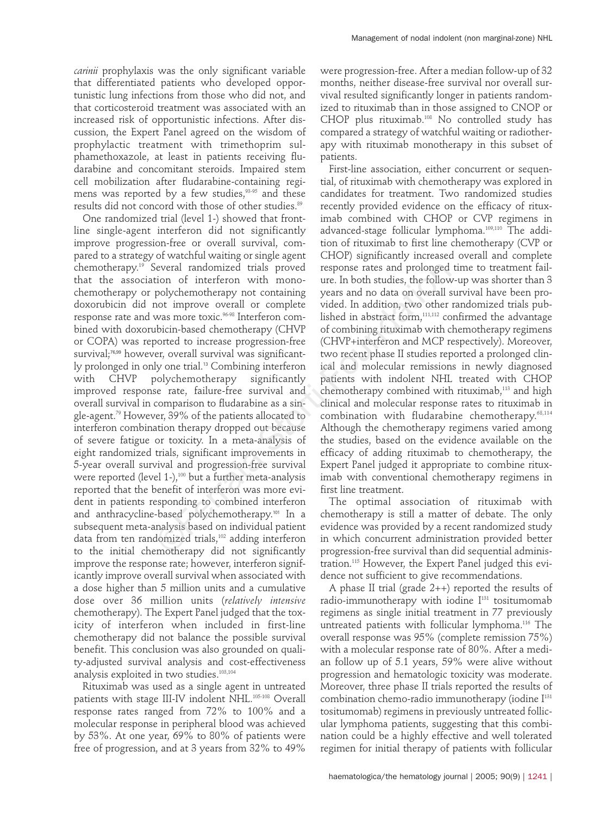*carinii* prophylaxis was the only significant variable that differentiated patients who developed opportunistic lung infections from those who did not, and that corticosteroid treatment was associated with an increased risk of opportunistic infections. After discussion, the Expert Panel agreed on the wisdom of prophylactic treatment with trimethoprim sulphamethoxazole, at least in patients receiving fludarabine and concomitant steroids. Impaired stem cell mobilization after fludarabine-containing regimens was reported by a few studies,<sup>93-95</sup> and these results did not concord with those of other studies.<sup>89</sup>

One randomized trial (level 1-) showed that frontline single-agent interferon did not significantly improve progression-free or overall survival, compared to a strategy of watchful waiting or single agent chemotherapy.19 Several randomized trials proved that the association of interferon with monochemotherapy or polychemotherapy not containing doxorubicin did not improve overall or complete response rate and was more toxic.<sup>96-98</sup> Interferon combined with doxorubicin-based chemotherapy (CHVP or COPA) was reported to increase progression-free survival;<sup>76,99</sup> however, overall survival was significantly prolonged in only one trial.<sup>13</sup> Combining interferon with CHVP polychemotherapy significantly improved response rate, failure-free survival and overall survival in comparison to fludarabine as a single-agent.79 However, 39% of the patients allocated to interferon combination therapy dropped out because of severe fatigue or toxicity. In a meta-analysis of eight randomized trials, significant improvements in 5-year overall survival and progression-free survival were reported (level 1-),<sup>100</sup> but a further meta-analysis reported that the benefit of interferon was more evident in patients responding to combined interferon and anthracycline-based polychemotherapy.<sup>101</sup> In a subsequent meta-analysis based on individual patient data from ten randomized trials,<sup>102</sup> adding interferon to the initial chemotherapy did not significantly improve the response rate; however, interferon significantly improve overall survival when associated with a dose higher than 5 million units and a cumulative dose over 36 million units (*relatively intensive* chemotherapy). The Expert Panel judged that the toxicity of interferon when included in first-line chemotherapy did not balance the possible survival benefit. This conclusion was also grounded on quality-adjusted survival analysis and cost-effectiveness analysis exploited in two studies.<sup>103,104</sup> Everal randomized trials proved<br>
response rates and prolonged<br>
reveral randomized trials proved containing years and no data on overall<br>
polychemotherapy not containing years and no data on overall<br>
not improve overall or

Rituximab was used as a single agent in untreated patients with stage III-IV indolent NHL.<sup>105-108</sup> Overall response rates ranged from 72% to 100% and a molecular response in peripheral blood was achieved by 53%. At one year, 69% to 80% of patients were free of progression, and at 3 years from 32% to 49%

were progression-free. After a median follow-up of 32 months, neither disease-free survival nor overall survival resulted significantly longer in patients randomized to rituximab than in those assigned to CNOP or CHOP plus rituximab.108 No controlled study has compared a strategy of watchful waiting or radiotherapy with rituximab monotherapy in this subset of patients.

First-line association, either concurrent or sequential, of rituximab with chemotherapy was explored in candidates for treatment. Two randomized studies recently provided evidence on the efficacy of rituximab combined with CHOP or CVP regimens in advanced-stage follicular lymphoma.109,110 The addition of rituximab to first line chemotherapy (CVP or CHOP) significantly increased overall and complete response rates and prolonged time to treatment failure. In both studies, the follow-up was shorter than 3 years and no data on overall survival have been provided. In addition, two other randomized trials published in abstract form,<sup>111,112</sup> confirmed the advantage of combining rituximab with chemotherapy regimens (CHVP+interferon and MCP respectively). Moreover, two recent phase II studies reported a prolonged clinical and molecular remissions in newly diagnosed patients with indolent NHL treated with CHOP chemotherapy combined with rituximab,<sup>113</sup> and high clinical and molecular response rates to rituximab in combination with fludarabine chemotherapy. 68,114 Although the chemotherapy regimens varied among the studies, based on the evidence available on the efficacy of adding rituximab to chemotherapy, the Expert Panel judged it appropriate to combine rituximab with conventional chemotherapy regimens in first line treatment.

The optimal association of rituximab with chemotherapy is still a matter of debate. The only evidence was provided by a recent randomized study in which concurrent administration provided better progression-free survival than did sequential administration.115 However, the Expert Panel judged this evidence not sufficient to give recommendations.

A phase II trial (grade 2++) reported the results of radio-immunotherapy with iodine I<sup>131</sup> tositumomab regimens as single initial treatment in 77 previously untreated patients with follicular lymphoma.116 The overall response was 95% (complete remission 75%) with a molecular response rate of 80%. After a median follow up of 5.1 years, 59% were alive without progression and hematologic toxicity was moderate. Moreover, three phase II trials reported the results of combination chemo-radio immunotherapy (iodine I<sup>131</sup> tositumomab) regimens in previously untreated follicular lymphoma patients, suggesting that this combination could be a highly effective and well tolerated regimen for initial therapy of patients with follicular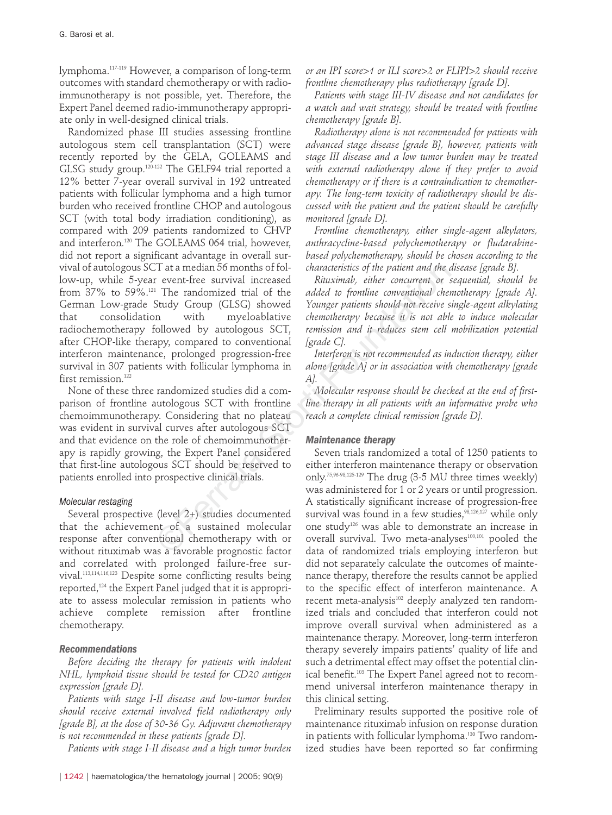lymphoma.117-119 However, a comparison of long-term outcomes with standard chemotherapy or with radioimmunotherapy is not possible, yet. Therefore, the Expert Panel deemed radio-immunotherapy appropriate only in well-designed clinical trials.

Randomized phase III studies assessing frontline autologous stem cell transplantation (SCT) were recently reported by the GELA, GOLEAMS and GLSG study group.<sup>120-122</sup> The GELF94 trial reported a 12% better 7-year overall survival in 192 untreated patients with follicular lymphoma and a high tumor burden who received frontline CHOP and autologous SCT (with total body irradiation conditioning), as compared with 209 patients randomized to CHVP and interferon.120 The GOLEAMS 064 trial, however, did not report a significant advantage in overall survival of autologous SCT at a median 56 months of follow-up, while 5-year event-free survival increased from 37% to 59%.121 The randomized trial of the German Low-grade Study Group (GLSG) showed that consolidation with myeloablative radiochemotherapy followed by autologous SCT, after CHOP-like therapy, compared to conventional interferon maintenance, prolonged progression-free survival in 307 patients with follicular lymphoma in first remission.<sup>122</sup> The transmission of Followed interactions of the patient and the *c*<br>
if The randomized trial of the *addata to formline conventional cherrical*<br>
Study Group (GLSG) showed *Younger patients should not receive*<br>
in with my

None of these three randomized studies did a comparison of frontline autologous SCT with frontline chemoimmunotherapy. Considering that no plateau was evident in survival curves after autologous SCT and that evidence on the role of chemoimmunotherapy is rapidly growing, the Expert Panel considered that first-line autologous SCT should be reserved to patients enrolled into prospective clinical trials.

# *Molecular restaging*

Several prospective (level 2+) studies documented that the achievement of a sustained molecular response after conventional chemotherapy with or without rituximab was a favorable prognostic factor and correlated with prolonged failure-free survival.113,114,116,123 Despite some conflicting results being reported,124 the Expert Panel judged that it is appropriate to assess molecular remission in patients who achieve complete remission after frontline chemotherapy.

# *Recommendations*

*Before deciding the therapy for patients with indolent NHL, lymphoid tissue should be tested for CD20 antigen expression [grade D].*

*Patients with stage I-II disease and low-tumor burden should receive external involved field radiotherapy only [grade B], at the dose of 30-36 Gy. Adjuvant chemotherapy is not recommended in these patients [grade D].*

*Patients with stage I-II disease and a high tumor burden*

*or an IPI score>1 or ILI score>2 or FLIPI>2 should receive frontline chemotherapy plus radiotherapy [grade D].*

*Patients with stage III-IV disease and not candidates for a watch and wait strategy, should be treated with frontline chemotherapy [grade B].*

*Radiotherapy alone is not recommended for patients with advanced stage disease [grade B], however, patients with stage III disease and a low tumor burden may be treated with external radiotherapy alone if they prefer to avoid chemotherapy or if there is a contraindication to chemotherapy. The long-term toxicity of radiotherapy should be discussed with the patient and the patient should be carefully monitored [grade D].*

*Frontline chemotherapy, either single-agent alkylators, anthracycline-based polychemotherapy or fludarabinebased polychemotherapy, should be chosen according to the characteristics of the patient and the disease [grade B].*

*Rituximab, either concurrent or sequential, should be added to frontline conventional chemotherapy [grade A]. Younger patients should not receive single-agent alkylating chemotherapy because it is not able to induce molecular remission and it reduces stem cell mobilization potential [grade C].*

*Interferon is not recommended as induction therapy, either alone [grade A] or in association with chemotherapy [grade A].*

*Molecular response should be checked at the end of firstline therapy in all patients with an informative probe who reach a complete clinical remission [grade D].*

# *Maintenance therapy*

Seven trials randomized a total of 1250 patients to either interferon maintenance therapy or observation only. 75,96-98,125-129 The drug (3-5 MU three times weekly) was administered for 1 or 2 years or until progression. A statistically significant increase of progression-free survival was found in a few studies, $98,126,127$  while only one study126 was able to demonstrate an increase in overall survival. Two meta-analyses<sup>100,101</sup> pooled the data of randomized trials employing interferon but did not separately calculate the outcomes of maintenance therapy, therefore the results cannot be applied to the specific effect of interferon maintenance. A recent meta-analysis<sup>102</sup> deeply analyzed ten randomized trials and concluded that interferon could not improve overall survival when administered as a maintenance therapy. Moreover, long-term interferon therapy severely impairs patients' quality of life and such a detrimental effect may offset the potential clinical benefit.<sup>103</sup> The Expert Panel agreed not to recommend universal interferon maintenance therapy in this clinical setting.

Preliminary results supported the positive role of maintenance rituximab infusion on response duration in patients with follicular lymphoma.<sup>130</sup> Two randomized studies have been reported so far confirming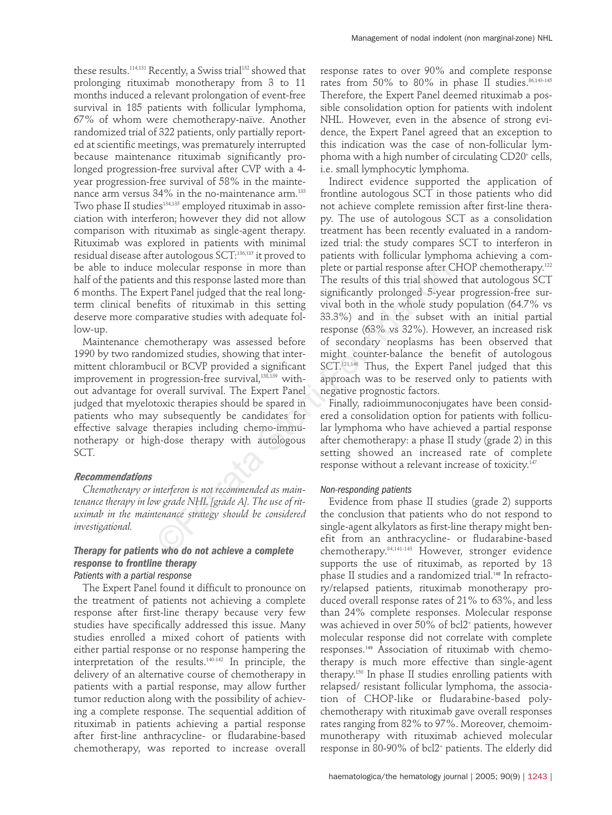these results.<sup>114,131</sup> Recently, a Swiss trial<sup>132</sup> showed that prolonging rituximab monotherapy from 3 to 11 months induced a relevant prolongation of event-free survival in 185 patients with follicular lymphoma, 67% of whom were chemotherapy-naïve. Another randomized trial of 322 patients, only partially reported at scientific meetings, was prematurely interrupted because maintenance rituximab significantly prolonged progression-free survival after CVP with a 4 year progression-free survival of 58% in the maintenance arm versus 34% in the no-maintenance arm.<sup>133</sup> Two phase II studies<sup>134,135</sup> employed rituximab in association with interferon; however they did not allow comparison with rituximab as single-agent therapy. Rituximab was explored in patients with minimal residual disease after autologous SCT:136,<sup>137</sup> it proved to be able to induce molecular response in more than half of the patients and this response lasted more than 6 months. The Expert Panel judged that the real longterm clinical benefits of rituximab in this setting deserve more comparative studies with adequate follow-up.

Maintenance chemotherapy was assessed before 1990 by two randomized studies, showing that intermittent chlorambucil or BCVP provided a significant improvement in progression-free survival,<sup>138,139</sup> without advantage for overall survival. The Expert Panel judged that myelotoxic therapies should be spared in patients who may subsequently be candidates for effective salvage therapies including chemo-immunotherapy or high-dose therapy with autologous SCT. molecular response in more than<br>
one-cular response after (and this response lasted more than<br>
The results of this trial showes effect Panel lidged that the real long-<br>
significantly prolonged 5-year<br>
ferits of rituximab

#### *Recommendations*

*Chemotherapy or interferon is not recommended as maintenance therapy in low grade NHL [grade A]. The use of rituximab in the maintenance strategy should be considered investigational.*

# *Therapy for patients who do not achieve a complete response to frontline therapy Patients with a partial response*

The Expert Panel found it difficult to pronounce on the treatment of patients not achieving a complete response after first-line therapy because very few studies have specifically addressed this issue. Many studies enrolled a mixed cohort of patients with either partial response or no response hampering the interpretation of the results.140-142 In principle, the delivery of an alternative course of chemotherapy in patients with a partial response, may allow further tumor reduction along with the possibility of achieving a complete response. The sequential addition of rituximab in patients achieving a partial response after first-line anthracycline- or fludarabine-based chemotherapy, was reported to increase overall

response rates to over 90% and complete response rates from 50% to 80% in phase II studies.  $86,143-145$ Therefore, the Expert Panel deemed rituximab a possible consolidation option for patients with indolent NHL. However, even in the absence of strong evidence, the Expert Panel agreed that an exception to this indication was the case of non-follicular lymphoma with a high number of circulating CD20<sup>+</sup> cells, i.e. small lymphocytic lymphoma.

Indirect evidence supported the application of frontline autologous SCT in those patients who did not achieve complete remission after first-line therapy. The use of autologous SCT as a consolidation treatment has been recently evaluated in a randomized trial: the study compares SCT to interferon in patients with follicular lymphoma achieving a complete or partial response after CHOP chemotherapy.<sup>122</sup> The results of this trial showed that autologous SCT significantly prolonged 5-year progression-free survival both in the whole study population (64.7% vs 33.3%) and in the subset with an initial partial response (63% vs 32%). However, an increased risk of secondary neoplasms has been observed that might counter-balance the benefit of autologous SCT.<sup>121,146</sup> Thus, the Expert Panel judged that this approach was to be reserved only to patients with negative prognostic factors.

Finally, radioimmunoconjugates have been considered a consolidation option for patients with follicular lymphoma who have achieved a partial response after chemotherapy: a phase II study (grade 2) in this setting showed an increased rate of complete response without a relevant increase of toxicity.<sup>147</sup>

#### *Non-responding patients*

Evidence from phase II studies (grade 2) supports the conclusion that patients who do not respond to single-agent alkylators as first-line therapy might benefit from an anthracycline- or fludarabine-based chemotherapy.84,141-143 However, stronger evidence supports the use of rituximab, as reported by 13 phase II studies and a randomized trial.<sup>148</sup> In refractory/relapsed patients, rituximab monotherapy produced overall response rates of 21% to 63%, and less than 24% complete responses. Molecular response was achieved in over 50% of bcl2+ patients, however molecular response did not correlate with complete responses.<sup>149</sup> Association of rituximab with chemotherapy is much more effective than single-agent therapy.150 In phase II studies enrolling patients with relapsed/ resistant follicular lymphoma, the association of CHOP-like or fludarabine-based polychemotherapy with rituximab gave overall responses rates ranging from 82% to 97%. Moreover, chemoimmunotherapy with rituximab achieved molecular response in 80-90% of bcl2+ patients. The elderly did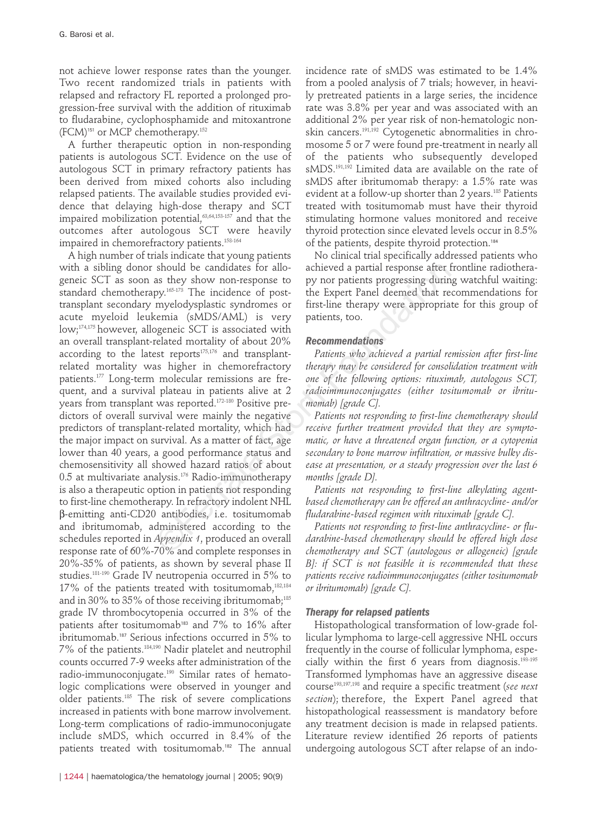not achieve lower response rates than the younger. Two recent randomized trials in patients with relapsed and refractory FL reported a prolonged progression-free survival with the addition of rituximab to fludarabine, cyclophosphamide and mitoxantrone (FCM)<sup>151</sup> or MCP chemotherapy.152

A further therapeutic option in non-responding patients is autologous SCT. Evidence on the use of autologous SCT in primary refractory patients has been derived from mixed cohorts also including relapsed patients. The available studies provided evidence that delaying high-dose therapy and SCT impaired mobilization potential, $63,64,153-157$  and that the outcomes after autologous SCT were heavily impaired in chemorefractory patients.<sup>158-164</sup>

A high number of trials indicate that young patients with a sibling donor should be candidates for allogeneic SCT as soon as they show non-response to standard chemotherapy.<sup>165-173</sup> The incidence of posttransplant secondary myelodysplastic syndromes or acute myeloid leukemia (sMDS/AML) is very low;174,175 however, allogeneic SCT is associated with an overall transplant-related mortality of about 20% according to the latest reports $175,176$  and transplantrelated mortality was higher in chemorefractory patients.177 Long-term molecular remissions are frequent, and a survival plateau in patients alive at 2 years from transplant was reported.172-180 Positive predictors of overall survival were mainly the negative predictors of transplant-related mortality, which had the major impact on survival. As a matter of fact, age lower than 40 years, a good performance status and chemosensitivity all showed hazard ratios of about 0.5 at multivariate analysis.176 Radio-immunotherapy is also a therapeutic option in patients not responding to first-line chemotherapy. In refractory indolent NHL b-emitting anti-CD20 antibodies, i.e. tositumomab and ibritumomab, administered according to the schedules reported in *Appendix 1*, produced an overall response rate of 60%-70% and complete responses in 20%-35% of patients, as shown by several phase II studies.181-190 Grade IV neutropenia occurred in 5% to 17% of the patients treated with tositumomab,<sup>182,184</sup> and in 30% to 35% of those receiving ibritumomab;<sup>185</sup> grade IV thrombocytopenia occurred in 3% of the patients after tositumomab<sup>183</sup> and  $7\%$  to  $16\%$  after ibritumomab.<sup>187</sup> Serious infections occurred in 5% to 7% of the patients.184,190 Nadir platelet and neutrophil counts occurred 7-9 weeks after administration of the radio-immunoconjugate.190 Similar rates of hematologic complications were observed in younger and older patients.185 The risk of severe complications increased in patients with bone marrow involvement. Long-term complications of radio-immunoconjugate include sMDS, which occurred in 8.4% of the patients treated with tositumomab.<sup>182</sup> The annual should be candidates for allo-<br>achieved a partial response after the systemy since they show non-response to py nor patients progressing during the incidence of post-<br>the Expert Panel deemed that re method dysplastic synd

incidence rate of sMDS was estimated to be 1.4% from a pooled analysis of 7 trials; however, in heavily pretreated patients in a large series, the incidence rate was 3.8% per year and was associated with an additional 2% per year risk of non-hematologic nonskin cancers.191,192 Cytogenetic abnormalities in chromosome 5 or 7 were found pre-treatment in nearly all of the patients who subsequently developed sMDS.191,192 Limited data are available on the rate of sMDS after ibritumomab therapy: a 1.5% rate was evident at a follow-up shorter than 2 years.<sup>185</sup> Patients treated with tositumomab must have their thyroid stimulating hormone values monitored and receive thyroid protection since elevated levels occur in 8.5% of the patients, despite thyroid protection.<sup>184</sup>

No clinical trial specifically addressed patients who achieved a partial response after frontline radiotherapy nor patients progressing during watchful waiting: the Expert Panel deemed that recommendations for first-line therapy were appropriate for this group of patients, too.

# *Recommendations*

*Patients who achieved a partial remission after first-line therapy may be considered for consolidation treatment with one of the following options: rituximab, autologous SCT, radioimmunoconjugates (either tositumomab or ibritumomab) [grade C].* 

*Patients not responding to first-line chemotherapy should receive further treatment provided that they are symptomatic, or have a threatened organ function, or a cytopenia secondary to bone marrow infiltration, or massive bulky disease at presentation, or a steady progression over the last 6 months [grade D].*

*Patients not responding to first-line alkylating agentbased chemotherapy can be offered an anthracycline- and/or fludarabine-based regimen with rituximab [grade C].*

*Patients not responding to first-line anthracycline- or fludarabine-based chemotherapy should be offered high dose chemotherapy and SCT (autologous or allogeneic) [grade B]: if SCT is not feasible it is recommended that these patients receive radioimmunoconjugates (either tositumomab or ibritumomab) [grade C].*

# *Therapy for relapsed patients*

Histopathological transformation of low-grade follicular lymphoma to large-cell aggressive NHL occurs frequently in the course of follicular lymphoma, especially within the first  $6$  years from diagnosis.<sup>193-195</sup> Transformed lymphomas have an aggressive disease course193,197,198 and require a specific treatment (*see next section*); therefore, the Expert Panel agreed that histopathological reassessment is mandatory before any treatment decision is made in relapsed patients. Literature review identified 26 reports of patients undergoing autologous SCT after relapse of an indo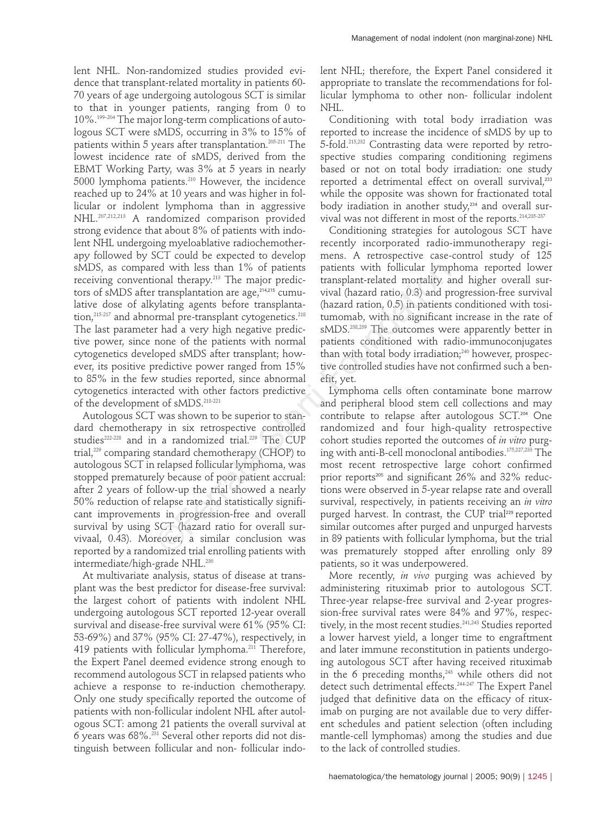lent NHL. Non-randomized studies provided evidence that transplant-related mortality in patients 60- 70 years of age undergoing autologous SCT is similar to that in younger patients, ranging from 0 to 10%.199–204 The major long-term complications of autologous SCT were sMDS, occurring in 3% to 15% of patients within 5 years after transplantation.<sup>205-211</sup> The lowest incidence rate of sMDS, derived from the EBMT Working Party, was 3% at 5 years in nearly 5000 lymphoma patients.<sup>210</sup> However, the incidence reached up to 24% at 10 years and was higher in follicular or indolent lymphoma than in aggressive NHL.207,212,213 A randomized comparison provided strong evidence that about 8% of patients with indolent NHL undergoing myeloablative radiochemotherapy followed by SCT could be expected to develop sMDS, as compared with less than 1% of patients receiving conventional therapy.213 The major predictors of sMDS after transplantation are age, $214,215$  cumulative dose of alkylating agents before transplantation,<sup>215-217</sup> and abnormal pre-transplant cytogenetics.<sup>218</sup> The last parameter had a very high negative predictive power, since none of the patients with normal cytogenetics developed sMDS after transplant; however, its positive predictive power ranged from 15% to 85% in the few studies reported, since abnormal cytogenetics interacted with other factors predictive of the development of sMDS.<sup>218-221</sup>

Autologous SCT was shown to be superior to standard chemotherapy in six retrospective controlled studies<sup>222-228</sup> and in a randomized trial.<sup>229</sup> The CUP trial,<sup>229</sup> comparing standard chemotherapy (CHOP) to autologous SCT in relapsed follicular lymphoma, was stopped prematurely because of poor patient accrual: after 2 years of follow-up the trial showed a nearly 50% reduction of relapse rate and statistically significant improvements in progression-free and overall survival by using SCT (hazard ratio for overall survivaal, 0.43). Moreover, a similar conclusion was reported by a randomized trial enrolling patients with intermediate/high-grade NHL.<sup>230</sup> ed with less than 1% of patients vith follicular lymp<br>conal therapy.<sup>315</sup> The major predic-<br>transplantat-related mortality a<br>transplantation are age,<sup>34315</sup> cumum vival (hazard ratio, 0.5) and p<br>sylating agents before tran

At multivariate analysis, status of disease at transplant was the best predictor for disease-free survival: the largest cohort of patients with indolent NHL undergoing autologous SCT reported 12-year overall survival and disease-free survival were 61% (95% CI: 53-69%) and 37% (95% CI: 27-47%), respectively, in 419 patients with follicular lymphoma.<sup>211</sup> Therefore, the Expert Panel deemed evidence strong enough to recommend autologous SCT in relapsed patients who achieve a response to re-induction chemotherapy. Only one study specifically reported the outcome of patients with non-follicular indolent NHL after autologous SCT: among 21 patients the overall survival at 6 years was 68%.231 Several other reports did not distinguish between follicular and non- follicular indolent NHL; therefore, the Expert Panel considered it appropriate to translate the recommendations for follicular lymphoma to other non- follicular indolent NHL.

Conditioning with total body irradiation was reported to increase the incidence of sMDS by up to 5-fold.215,232 Contrasting data were reported by retrospective studies comparing conditioning regimens based or not on total body irradiation: one study reported a detrimental effect on overall survival.<sup>233</sup> while the opposite was shown for fractionated total body iradiation in another study, $234$  and overall survival was not different in most of the reports.214,235-237

Conditioning strategies for autologous SCT have recently incorporated radio-immunotherapy regimens. A retrospective case-control study of 125 patients with follicular lymphoma reported lower transplant-related mortality and higher overall survival (hazard ratio, 0.3) and progression-free survival (hazard ration, 0.5) in patients conditioned with tositumomab, with no significant increase in the rate of sMDS.<sup>238,239</sup> The outcomes were apparently better in patients conditioned with radio-immunoconjugates than with total body irradiation;<sup>240</sup> however, prospective controlled studies have not confirmed such a benefit, yet.

Lymphoma cells often contaminate bone marrow and peripheral blood stem cell collections and may contribute to relapse after autologous SCT. <sup>204</sup> One randomized and four high-quality retrospective cohort studies reported the outcomes of *in vitro* purging with anti-B-cell monoclonal antibodies.175,227,233 The most recent retrospective large cohort confirmed prior reports<sup>205</sup> and significant  $26\%$  and  $32\%$  reductions were observed in 5-year relapse rate and overall survival, respectively, in patients receiving an *in vitro* purged harvest. In contrast, the CUP trial<sup>229</sup> reported similar outcomes after purged and unpurged harvests in 89 patients with follicular lymphoma, but the trial was prematurely stopped after enrolling only 89 patients, so it was underpowered.

More recently, *in vivo* purging was achieved by administering rituximab prior to autologous SCT. Three-year relapse-free survival and 2-year progression-free survival rates were 84% and 97%, respectively, in the most recent studies.<sup>241,243</sup> Studies reported a lower harvest yield, a longer time to engraftment and later immune reconstitution in patients undergoing autologous SCT after having received rituximab in the 6 preceding months,<sup>243</sup> while others did not detect such detrimental effects.<sup>244-247</sup> The Expert Panel judged that definitive data on the efficacy of rituximab on purging are not available due to very different schedules and patient selection (often including mantle-cell lymphomas) among the studies and due to the lack of controlled studies.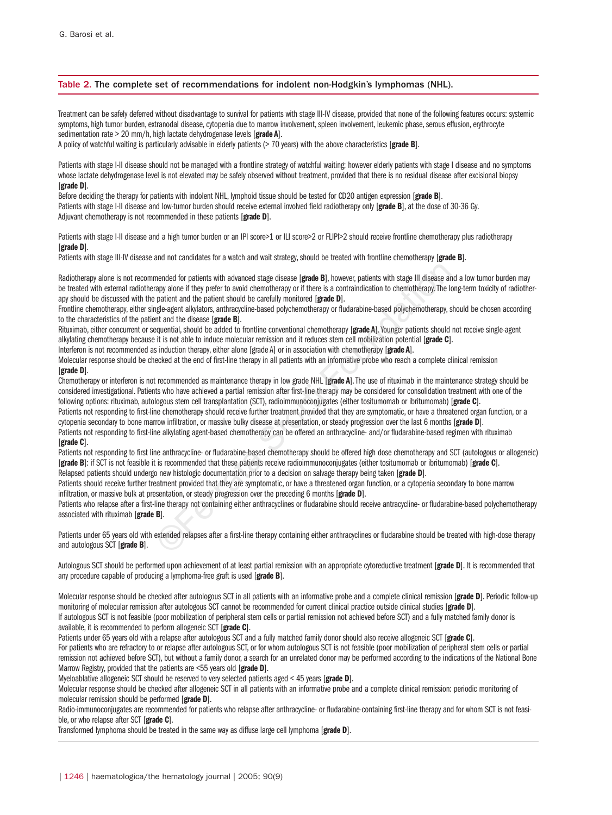#### Table 2. The complete set of recommendations for indolent non-Hodgkin's lymphomas (NHL).

Treatment can be safely deferred without disadvantage to survival for patients with stage III-IV disease, provided that none of the following features occurs: systemic symptoms, high tumor burden, extranodal disease, cytopenia due to marrow involvement, spleen involvement, leukemic phase, serous effusion, erythrocyte sedimentation rate > 20 mm/h, high lactate dehydrogenase levels [**grade A**].

A policy of watchful waiting is particularly advisable in elderly patients (> 70 years) with the above characteristics [**grade B**].

Patients with stage I-II disease should not be managed with a frontline strategy of watchful waiting; however elderly patients with stage I disease and no symptoms whose lactate dehydrogenase level is not elevated may be safely observed without treatment, provided that there is no residual disease after excisional biopsy [**grade D**].

Before deciding the therapy for patients with indolent NHL, lymphoid tissue should be tested for CD20 antigen expression [**grade B**]. Patients with stage I-II disease and low-tumor burden should receive external involved field radiotherapy only [**grade B**], at the dose of 30-36 Gy. Adjuvant chemotherapy is not recommended in these patients [**grade D**].

Patients with stage I-II disease and a high tumor burden or an IPI score>1 or ILI score>2 or FLIPI>2 should receive frontline chemotherapy plus radiotherapy [**grade D**].

Patients with stage III-IV disease and not candidates for a watch and wait strategy, should be treated with frontline chemotherapy [**grade B**].

Radiotherapy alone is not recommended for patients with advanced stage disease [**grade B**], however, patients with stage III disease and a low tumor burden may be treated with external radiotherapy alone if they prefer to avoid chemotherapy or if there is a contraindication to chemotherapy. The long-term toxicity of radiotherapy should be discussed with the patient and the patient should be carefully monitored [**grade D**]. mended for patients with advanced stage disease [grade **B**], however, patients with stage III disease arepy alone if they prefer to avoid chemotherapy or if there is a contraindication to chemotherapy. The late are arepsig

Frontline chemotherapy, either single-agent alkylators, anthracycline-based polychemotherapy or fludarabine-based polychemotherapy, should be chosen according to the characteristics of the patient and the disease [**grade B**].

Rituximab, either concurrent or sequential, should be added to frontline conventional chemotherapy [grade A]. Younger patients should not receive single-agent alkylating chemotherapy because it is not able to induce molecular remission and it reduces stem cell mobilization potential [**grade C**].

Interferon is not recommended as induction therapy, either alone [grade A] or in association with chemotherapy [**grade A**].

Molecular response should be checked at the end of first-line therapy in all patients with an informative probe who reach a complete clinical remission [**grade D**].

Chemotherapy or interferon is not recommended as maintenance therapy in low grade NHL [**grade A**]. The use of rituximab in the maintenance strategy should be considered investigational. Patients who have achieved a partial remission after first-line therapy may be considered for consolidation treatment with one of the following options: rituximab, autologous stem cell transplantation (SCT), radioimmunoconjugates (either tositumomab or ibritumomab) [**grade C**].

Patients not responding to first-line chemotherapy should receive further treatment provided that they are symptomatic, or have a threatened organ function, or a cytopenia secondary to bone marrow infiltration, or massive bulky disease at presentation, or steady progression over the last 6 months [**grade D**].

Patients not responding to first-line alkylating agent-based chemotherapy can be offered an anthracycline- and/or fludarabine-based regimen with rituximab [**grade C**].

Patients not responding to first line anthracycline- or fludarabine-based chemotherapy should be offered high dose chemotherapy and SCT (autologous or allogeneic) [**grade B**]: if SCT is not feasible it is recommended that these patients receive radioimmunoconjugates (either tositumomab or ibritumomab) [**grade C**]. Relapsed patients should undergo new histologic documentation prior to a decision on salvage therapy being taken [**grade D**].

Patients should receive further treatment provided that they are symptomatic, or have a threatened organ function, or a cytopenia secondary to bone marrow infiltration, or massive bulk at presentation, or steady progression over the preceding 6 months [**grade D**].

Patients who relapse after a first-line therapy not containing either anthracyclines or fludarabine should receive antracycline- or fludarabine-based polychemotherapy associated with rituximab [**grade B**].

Patients under 65 years old with extended relapses after a first-line therapy containing either anthracyclines or fludarabine should be treated with high-dose therapy and autologous SCT [**grade B**].

Autologous SCT should be performed upon achievement of at least partial remission with an appropriate cytoreductive treatment [**grade D**]. It is recommended that any procedure capable of producing a lymphoma-free graft is used [**grade B**].

Molecular response should be checked after autologous SCT in all patients with an informative probe and a complete clinical remission [**grade D**]. Periodic follow-up monitoring of molecular remission after autologous SCT cannot be recommended for current clinical practice outside clinical studies [**grade D**]. If autologous SCT is not feasible (poor mobilization of peripheral stem cells or partial remission not achieved before SCT) and a fully matched family donor is available, it is recommended to perform allogeneic SCT [**grade C**].

Patients under 65 years old with a relapse after autologous SCT and a fully matched family donor should also receive allogeneic SCT [**grade C**].

For patients who are refractory to or relapse after autologous SCT, or for whom autologous SCT is not feasible (poor mobilization of peripheral stem cells or partial remission not achieved before SCT), but without a family donor, a search for an unrelated donor may be performed according to the indications of the National Bone Marrow Registry, provided that the patients are <55 years old [**grade D**].

Myeloablative allogeneic SCT should be reserved to very selected patients aged < 45 years [**grade D**].

Molecular response should be checked after allogeneic SCT in all patients with an informative probe and a complete clinical remission: periodic monitoring of molecular remission should be performed [**grade D**].

Radio-immunoconjugates are recommended for patients who relapse after anthracycline- or fludarabine-containing first-line therapy and for whom SCT is not feasible, or who relapse after SCT [**grade C**].

Transformed lymphoma should be treated in the same way as diffuse large cell lymphoma [**grade D**].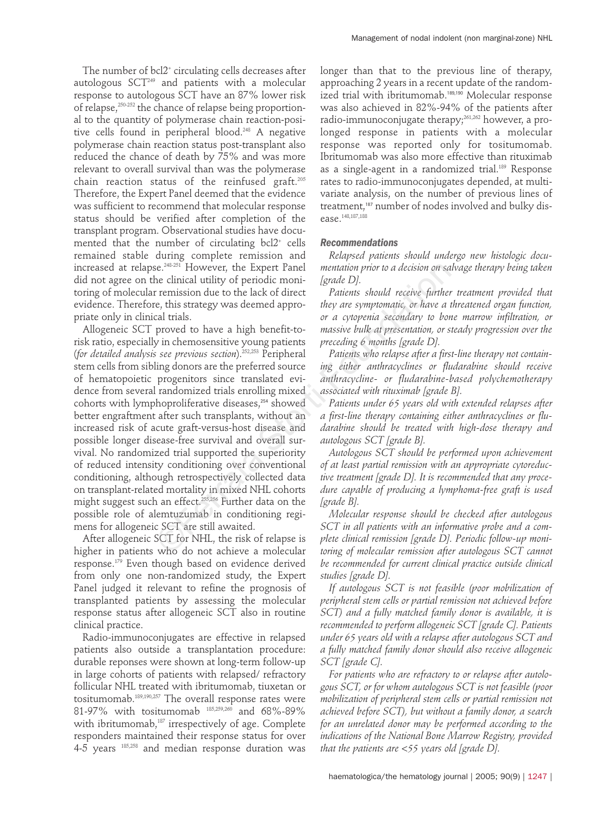The number of bcl2<sup>+</sup> circulating cells decreases after autologous  $SCT<sup>249</sup>$  and patients with a molecular response to autologous SCT have an 87% lower risk of relapse,<sup>250-252</sup> the chance of relapse being proportional to the quantity of polymerase chain reaction-positive cells found in peripheral blood.248 A negative polymerase chain reaction status post-transplant also reduced the chance of death by 75% and was more relevant to overall survival than was the polymerase chain reaction status of the reinfused graft.205 Therefore, the Expert Panel deemed that the evidence was sufficient to recommend that molecular response status should be verified after completion of the transplant program. Observational studies have documented that the number of circulating bcl2+ cells remained stable during complete remission and increased at relapse.248-251 However, the Expert Panel did not agree on the clinical utility of periodic monitoring of molecular remission due to the lack of direct evidence. Therefore, this strategy was deemed appropriate only in clinical trials.

Allogeneic SCT proved to have a high benefit-torisk ratio, especially in chemosensitive young patients (*for detailed analysis see previous section*).252,253 Peripheral stem cells from sibling donors are the preferred source of hematopoietic progenitors since translated evidence from several randomized trials enrolling mixed cohorts with lymphoproliferative diseases,<sup>254</sup> showed better engraftment after such transplants, without an increased risk of acute graft-versus-host disease and possible longer disease-free survival and overall survival. No randomized trial supported the superiority of reduced intensity conditioning over conventional conditioning, although retrospectively collected data on transplant-related mortality in mixed NHL cohorts might suggest such an effect.255,256 Further data on the possible role of alemtuzumab in conditioning regimens for allogeneic SCT are still awaited. Solution and the Expect Panel and the metallic and the clinical utility of periodic moni-<br>
Igrade DJ.<br>
remission due to the lack of direct *Paients should receive further*<br>
remission due to the lack of direct *Paients sho* 

After allogeneic SCT for NHL, the risk of relapse is higher in patients who do not achieve a molecular response.179 Even though based on evidence derived from only one non-randomized study, the Expert Panel judged it relevant to refine the prognosis of transplanted patients by assessing the molecular response status after allogeneic SCT also in routine clinical practice.

Radio-immunoconjugates are effective in relapsed patients also outside a transplantation procedure: durable reponses were shown at long-term follow-up in large cohorts of patients with relapsed/ refractory follicular NHL treated with ibritumomab, tiuxetan or tositumomab.189,190,257 The overall response rates were 81-97% with tositumomab  $185,259,260$  and 68%-89% with ibritumomab,<sup>187</sup> irrespectively of age. Complete responders maintained their response status for over 4-5 years 185,258 and median response duration was

longer than that to the previous line of therapy, approaching 2 years in a recent update of the randomized trial with ibritumomab.<sup>189,190</sup> Molecular response was also achieved in 82%-94% of the patients after radio-immunoconjugate therapy;<sup>261,262</sup> however, a prolonged response in patients with a molecular response was reported only for tositumomab. Ibritumomab was also more effective than rituximab as a single-agent in a randomized trial.<sup>189</sup> Response rates to radio-immunoconjugates depended, at multivariate analysis, on the number of previous lines of treatment,<sup>187</sup> number of nodes involved and bulky disease.148,187,188

#### *Recommendations*

*Relapsed patients should undergo new histologic documentation prior to a decision on salvage therapy being taken [grade D].*

*Patients should receive further treatment provided that they are symptomatic, or have a threatened organ function, or a cytopenia secondary to bone marrow infiltration, or massive bulk at presentation, or steady progression over the preceding 6 months [grade D].*

*Patients who relapse after a first-line therapy not containing either anthracyclines or fludarabine should receive anthracycline- or fludarabine-based polychemotherapy associated with rituximab [grade B].*

*Patients under 65 years old with extended relapses after a first-line therapy containing either anthracyclines or fludarabine should be treated with high-dose therapy and autologous SCT [grade B].*

*Autologous SCT should be performed upon achievement of at least partial remission with an appropriate cytoreductive treatment [grade D]. It is recommended that any procedure capable of producing a lymphoma-free graft is used [grade B].*

*Molecular response should be checked after autologous SCT in all patients with an informative probe and a complete clinical remission [grade D]. Periodic follow-up monitoring of molecular remission after autologous SCT cannot be recommended for current clinical practice outside clinical studies [grade D].*

*If autologous SCT is not feasible (poor mobilization of peripheral stem cells or partial remission not achieved before SCT) and a fully matched family donor is available, it is recommended to perform allogeneic SCT [grade C]. Patients under 65 years old with a relapse after autologous SCT and a fully matched family donor should also receive allogeneic SCT [grade C].*

*For patients who are refractory to or relapse after autologous SCT, or for whom autologous SCT is not feasible (poor mobilization of peripheral stem cells or partial remission not achieved before SCT), but without a family donor, a search for an unrelated donor may be performed according to the indications of the National Bone Marrow Registry, provided that the patients are <55 years old [grade D].*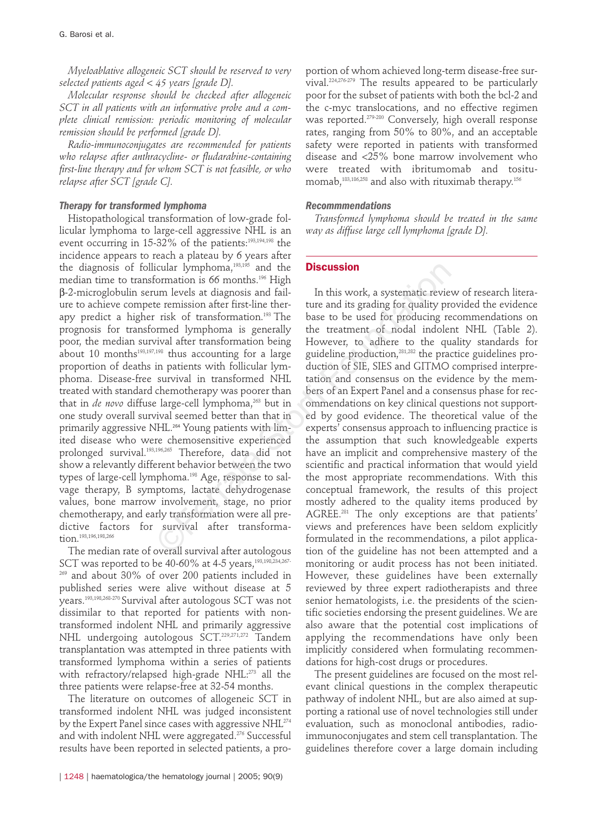*Myeloablative allogeneic SCT should be reserved to very selected patients aged < 45 years [grade D].*

*Molecular response should be checked after allogeneic SCT in all patients with an informative probe and a complete clinical remission: periodic monitoring of molecular remission should be performed [grade D].*

*Radio-immunoconjugates are recommended for patients who relapse after anthracycline- or fludarabine-containing first-line therapy and for whom SCT is not feasible, or who relapse after SCT [grade C].*

## *Therapy for transformed lymphoma*

Histopathological transformation of low-grade follicular lymphoma to large-cell aggressive NHL is an event occurring in 15-32% of the patients:<sup>193,194,198</sup> the incidence appears to reach a plateau by 6 years after the diagnosis of follicular lymphoma,<sup>193,195</sup> and the median time to transformation is 66 months.<sup>196</sup> High b-2-microglobulin serum levels at diagnosis and failure to achieve compete remission after first-line therapy predict a higher risk of transformation.193 The prognosis for transformed lymphoma is generally poor, the median survival after transformation being about 10 months<sup>193,197,198</sup> thus accounting for a large proportion of deaths in patients with follicular lymphoma. Disease-free survival in transformed NHL treated with standard chemotherapy was poorer than that in *de novo* diffuse large-cell lymphoma,<sup>263</sup> but in one study overall survival seemed better than that in primarily aggressive NHL.<sup>264</sup> Young patients with limited disease who were chemosensitive experienced prolonged survival.193,196,265 Therefore, data did not show a relevantly different behavior between the two types of large-cell lymphoma.198 Age, response to salvage therapy, B symptoms, lactate dehydrogenase values, bone marrow involvement, stage, no prior chemotherapy, and early transformation were all predictive factors for survival after transformation.<sup>193,196,198,266</sup>

The median rate of overall survival after autologous SCT was reported to be 40-60% at 4-5 years,<sup>193,198,234,267-</sup>  $269$  and about 30% of over 200 patients included in published series were alive without disease at 5 years.193,198,268-270 Survival after autologous SCT was not dissimilar to that reported for patients with nontransformed indolent NHL and primarily aggressive NHL undergoing autologous SCT.<sup>229,271,272</sup> Tandem transplantation was attempted in three patients with transformed lymphoma within a series of patients with refractory/relapsed high-grade NHL:<sup>273</sup> all the three patients were relapse-free at 32-54 months.

The literature on outcomes of allogeneic SCT in transformed indolent NHL was judged inconsistent by the Expert Panel since cases with aggressive NHL<sup>274</sup> and with indolent NHL were aggregated.<sup>276</sup> Successful results have been reported in selected patients, a pro-

portion of whom achieved long-term disease-free survival.224,276-279 The results appeared to be particularly poor for the subset of patients with both the bcl-2 and the c-myc translocations, and no effective regimen was reported.279-280 Conversely, high overall response rates, ranging from 50% to 80%, and an acceptable safety were reported in patients with transformed disease and <25% bone marrow involvement who were treated with ibritumomab and tositumomab,<sup>183,186,258</sup> and also with rituximab therapy.<sup>156</sup>

#### *Recommmendations*

*Transformed lymphoma should be treated in the same way as diffuse large cell lymphoma [grade D].*

# **Discussion**

In this work, a systematic review of research literature and its grading for quality provided the evidence base to be used for producing recommendations on the treatment of nodal indolent NHL (Table 2). However, to adhere to the quality standards for guideline production,281,282 the practice guidelines production of SIE, SIES and GITMO comprised interpretation and consensus on the evidence by the members of an Expert Panel and a consensus phase for recommendations on key clinical questions not supported by good evidence. The theoretical value of the experts' consensus approach to influencing practice is the assumption that such knowledgeable experts have an implicit and comprehensive mastery of the scientific and practical information that would yield the most appropriate recommendations. With this conceptual framework, the results of this project mostly adhered to the quality items produced by AGREE.281 The only exceptions are that patients' views and preferences have been seldom explicitly formulated in the recommendations, a pilot application of the guideline has not been attempted and a monitoring or audit process has not been initiated. However, these guidelines have been externally reviewed by three expert radiotherapists and three senior hematologists, i.e. the presidents of the scientific societies endorsing the present guidelines. We are also aware that the potential cost implications of applying the recommendations have only been implicitly considered when formulating recommendations for high-cost drugs or procedures. icular lymphoma,<sup>198,186</sup> and the **Discussion**<br>
cormation is 66 months.<sup>198</sup> and the **Discussion**<br>
tum levels at diagnosis and fail-<br>
the remission after first-line ther-<br>
ture and its grading for quality pr<br>
risk of tran

> The present guidelines are focused on the most relevant clinical questions in the complex therapeutic pathway of indolent NHL, but are also aimed at supporting a rational use of novel technologies still under evaluation, such as monoclonal antibodies, radioimmunoconjugates and stem cell transplantation. The guidelines therefore cover a large domain including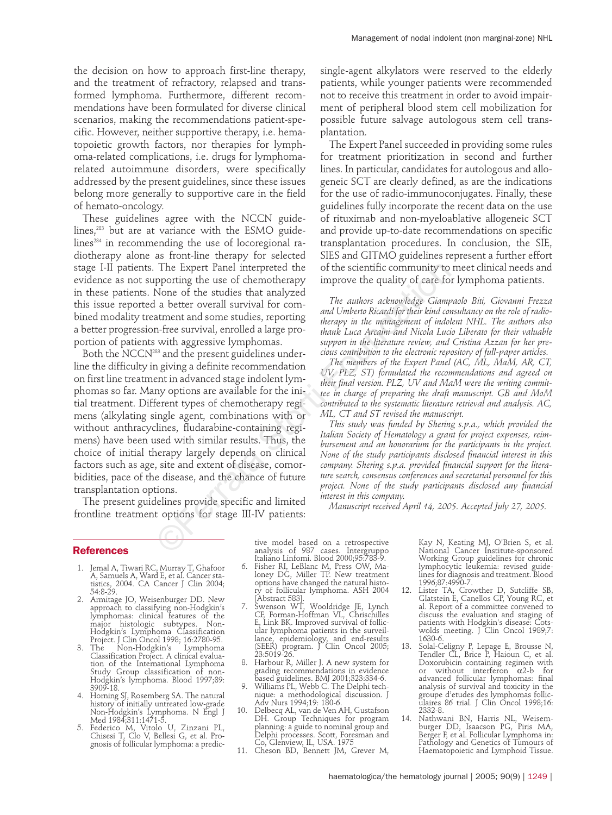the decision on how to approach first-line therapy, and the treatment of refractory, relapsed and transformed lymphoma. Furthermore, different recommendations have been formulated for diverse clinical scenarios, making the recommendations patient-specific. However, neither supportive therapy, i.e. hematopoietic growth factors, nor therapies for lymphoma-related complications, i.e. drugs for lymphomarelated autoimmune disorders, were specifically addressed by the present guidelines, since these issues belong more generally to supportive care in the field of hemato-oncology.

These guidelines agree with the NCCN guidelines,283 but are at variance with the ESMO guidelines<sup>284</sup> in recommending the use of locoregional radiotherapy alone as front-line therapy for selected stage I-II patients. The Expert Panel interpreted the evidence as not supporting the use of chemotherapy in these patients. None of the studies that analyzed this issue reported a better overall survival for combined modality treatment and some studies, reporting a better progression-free survival, enrolled a large proportion of patients with aggressive lymphomas.

Both the NCCN283 and the present guidelines underline the difficulty in giving a definite recommendation on first line treatment in advanced stage indolent lymphomas so far. Many options are available for the initial treatment. Different types of chemotherapy regimens (alkylating single agent, combinations with or without anthracyclines, fludarabine-containing regimens) have been used with similar results. Thus, the choice of initial therapy largely depends on clinical factors such as age, site and extent of disease, comorbidities, pace of the disease, and the chance of future transplantation options. The Expert Panel interpreted the of the scientific community to<br>proporting the use of chemotherapy improve the quality of care for<br>None of the studies that analyzed more and a better overall survival for com-<br>The authors

The present guidelines provide specific and limited frontline treatment options for stage III-IV patients:

single-agent alkylators were reserved to the elderly patients, while younger patients were recommended not to receive this treatment in order to avoid impairment of peripheral blood stem cell mobilization for possible future salvage autologous stem cell transplantation.

The Expert Panel succeeded in providing some rules for treatment prioritization in second and further lines. In particular, candidates for autologous and allogeneic SCT are clearly defined, as are the indications for the use of radio-immunoconjugates. Finally, these guidelines fully incorporate the recent data on the use of rituximab and non-myeloablative allogeneic SCT and provide up-to-date recommendations on specific transplantation procedures. In conclusion, the SIE, SIES and GITMO guidelines represent a further effort of the scientific community to meet clinical needs and improve the quality of care for lymphoma patients.

*The authors acknowledge Giampaolo Biti, Giovanni Frezza and Umberto Ricardi for their kind consultancy on the role of radiotherapy in the management of indolent NHL. The authors also thank Luca Arcaini and Nicola Lucio Liberato for their valuable support in the literature review, and Cristina Azzan for her precious contribution to the electronic repository of full-paper articles.* 

*The members of the Expert Panel (AC, ML, MaM, AR, CT, UV, PLZ, ST) formulated the recommendations and agreed on their final version. PLZ, UV and MaM were the writing committee in charge of preparing the draft manuscript. GB and MoM contributed to the systematic literature retrieval and analysis. AC, ML, CT and ST revised the manuscript.*

*This study was funded by Shering s.p.a., which provided the Italian Society of Hematology a grant for project expenses, reimbursement and an honorarium for the participants in the project. None of the study participants disclosed financial interest in this company. Shering s.p.a. provided financial support for the literature search, consensus conferences and secretarial personnel for this project. None of the study participants disclosed any financial interest in this company.*

*Manuscript received April 14, 2005. Accepted July 27, 2005.*

#### **References**

- 1. Jemal A, Tiwari RC, Murray T, Ghafoor A, Samuels A, Ward E, et al. Cancer sta-tistics, 2004. CA Cancer J Clin 2004; 54:8-29.
- 2. Armitage JO, Weisenburger DD. New approach to classifying non-Hodgkin's lymphomas: clinical features of the major histologic subtypes. Non-Hodgkin's Lymphoma Classification Project. J Clin Oncol 1998; 16:2780-95. 3. The Non-Hodgkin's Lymphoma
- Classification Project. A clinical evaluation of the International Lymphoma Study Group classification of non- Hodgkin's lymphoma. Blood 1997;89: 3909-18.
- 4. Horning SJ, Rosemberg SA. The natural history of initially untreated low-grade Non-Hodgkin's Lymphoma. N Engl J Med 1984;311:1471-5.
- 5. Federico M, Vitolo U, Zinzani PL, Chisesi T, Clo V, Bellesi G, et al. Prognosis of follicular lymphoma: a predic-

tive model based on a retrospective analysis of 987 cases. Intergruppo Italiano Linfomi. Blood 2000;95:783-9.

- 6. Fisher RI, LeBlanc M, Press OW, Ma-loney DG, Miller TP. New treatment options have changed the natural history of follicular lymphoma. ASH 2004 [Abstract 583].
- 7. Swenson WT, Wooldridge JE, Lynch CF, Forman-Hoffman VL, Chrischilles E, Link BK. Improved survival of follicular lymphoma patients in the surveil-lance, epidemiology, and end-results (SEER) program. J Clin Oncol 2005; 23:5019-26.
- 8. Harbour R, Miller J. A new system for grading recommendations in evidence based guidelines. BMJ 2001;323:334-6.
- 9. Williams PL, Webb C. The Delphi tech- nique: a methodological discussion. J Adv Nurs 1994;19: 180-6.
- 10. Delbecq AL, van de Ven AH, Gustafson DH. Group Techniques for program planning: a guide to nominal group and Delphi processes. Scott, Foresman and Co, Glenview, IL, USA. 1975 11. Cheson BD, Bennett JM, Grever M,
- 

Kay N, Keating MJ, O'Brien S, et al. National Cancer Institute-sponsored Working Group guidelines for chronic lymphocytic leukemia: revised guide-lines for diagnosis and treatment. Blood 1996;87:4990-7. 12. Lister TA, Crowther D, Sutcliffe SB, Glatstein E, Canellos GP, Young RC, et

- al. Report of a committee convened to discuss the evaluation and staging of patients with Hodgkin's disease: Cotswolds meeting. J Clin Oncol 1989;7: 1630-6.
- 13. Solal-Celigny P, Lepage E, Brousse N, Tendler CL, Brice P, Haioun C, et al. Doxorubicin containing regimen with or without interferon  $\alpha$ 2-b for advanced follicular lymphomas: final analysis of survival and toxicity in the groupe d'etudes des lymphomas follic-ulaires 86 trial. J Clin Oncol 1998;16: 2332-8.
- 14. Nathwani BN, Harris NL, Weisem-burger DD, Isaacson PG, Piris MA, Berger F, et al. Follicular Lymphoma in: Pathology and Genetics of Tumours of Haematopoietic and Lymphoid Tissue.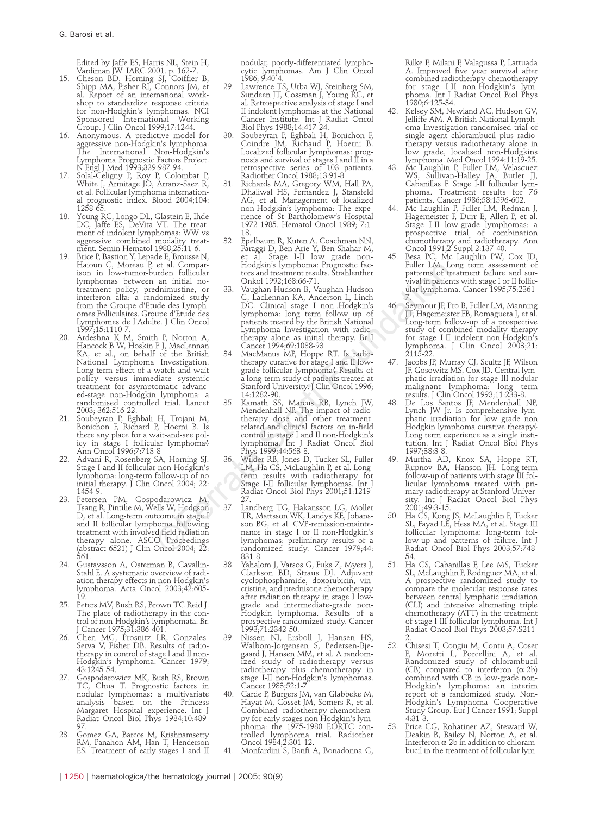- Edited by Jaffe ES, Harris NL, Stein H, Vardiman JW. IARC 2001. p. 162-7. 15. Cheson BD, Horning SJ, Coiffier B, Shipp MA, Fisher RI, Connors JM, et al. Report of an international workshop to standardize response criteria for non-Hodgkin's lymphomas. NCI Sponsored International Working Group. J Clin Oncol 1999;17:1244.
- 16. Anonymous. A predictive model for aggressive non-Hodgkin's lymphoma. The International Non-Hodgkin's Lymphoma Prognostic Factors Project. N Engl J Med 1993;329:987-94.
- 17. Solal-Celigny P, Roy P, Colombat P, White J, Armitage JO, Arranz-Saez R, et al. Follicular lymphoma internationprognostic index. Blood 2004;104: 1258-65.
- 18. Young RC, Longo DL, Glastein E, Ihde DC, Jaffe ES, DeVita VT. The treatment of indolent lymphomas: WW vs aggressive combined modality treatment. Semin Hematol 1988;25:11-6.
- 19. Brice P, Bastion Y, Lepade E, Brousse N, Haioun C, Moreau P, et al. Comparison in low-tumor-burden follicular lymphomas between an initial notreatment policy, prednimustine, or interferon alfa: a randomized study from the Groupe d'Etude des Lymphomes Folliculaires. Groupe d'Etude des Lymphomes de l'Adulte. J Clin Oncol 1997;15:1110-7.
- 20. Ardeshna K M, Smith P, Norton A, Hancock B W, Hoskin P J, MacLennan KA, et al., on behalf of the British National Lymphoma Investigation. Long-term effect of a watch and wait policy versus immediate systemic treatment for asymptomatic advanc-ed-stage non-Hodgkin lymphoma: a randomised controlled trial. Lancet 2003; 362:516-22.
- 21. Soubeyran P, Eghbali H, Trojani M, Bonichon F, Richard P, Hoerni B. Is there any place for a wait-and-see pol-icy in stage I follicular lymphoma? Ann Oncol 1996;7:713-8
- 22. Advani R, Rosenberg SA, Horning SJ. Stage I and II follicular non-Hodgkin's lymphoma: long-term follow-up of no initial therapy. J Clin Oncol 2004; 22: 1454-9.
- 23. Petersen PM, Gospodarowicz M, Tsang R, Pintilie M, Wells W, Hodgson D, et al. Long-term outcome in stage I and II follicular lymphoma following treatment with involved field radiation therapy alone. ASCO Proceedings (abstract 6521) J Clin Oncol 2004; 22: 561.
- 24. Gustavsson A, Osterman B, Cavallin-Stahl E. A systematic overview of radiation therapy effects in non-Hodgkin's lymphoma. Acta Oncol 2003;42:605- 19. 25. Peters MV, Bush RS, Brown TC Reid J.
- The place of radiotherapy in the control of non-Hodgkin's lymphomata. Br. J Cancer 1975;31:386-401.
- 26. Chen MG, Prosnitz LR, Gonzales-Serva V, Fisher DB. Results of radiotherapy in control of stage I and Il non-Hodgkin's lymphoma. Cancer 1979; 43:1245-54.
- 27. Gospodarowicz MK, Bush RS, Brown TC, Chua T. Prognostic factors in nodular lymphomas: a multivariate analysis based on the Princess Margaret Hospital experience. Int J Radiat Oncol Biol Phys 1984;10:489-
- 97. 28. Gomez GA, Barcos M, Krishnamsetty RM, Panahon AM, Han T, Henderson ES. Treatment of early-stages I and II

nodular, poorly-differentiated lymphocytic lymphomas. Am J Clin Oncol 1986; 9:40-4.

- 29. Lawrence TS, Urba WJ, Steinberg SM, Sundeen JT, Cossman J, Young RC, et al. Retrospective analysis of stage I and II indolent lymphomas at the National Cancer Institute. Int J Radiat Oncol Biol Phys 1988;14:417-24.
- 30. Soubeyran P, Eghbali H, Bonichon F, Coindre JM, Richaud P, Hoerni B. Localized follicular lymphomas: prognosis and survival of stages I and II in a retrospective series of 103 patients. Radiother Oncol 1988;13:91-8
- 31. Richards MA, Gregory WM, Hall PA, Dhaliwal HS, Fernandez J, Stansfeld AG, et al. Management of localized non-Hodgkin's lymphoma: The experience of St Bartholomew's Hospital 1972-1985. Hematol Oncol 1989; 7:1- 18.
- 32. Epelbaum R, Kuten A, Coachman NN, Faraggi D, Ben-Arie Y, Ben-Shahar M, et al. Stage I-II low grade non-Hodgkin's lymphoma: Prognostic factors and treatment results. Strahlenther Onkol 1992;168:66-71.
- 33. Vaughan Hudson B, Vaughan Hudson G, LacLennan KA, Anderson L, Linch DC. Clinical stage I non-.Hodgkin's lymphoma: long term follow up of patients treated by the British National Lymphoma Investigation with radiotherapy alone as initial therapy. Br J Cancer 1994;69:1088-93 et al. Compar-<br>
arden foldgains imphomain. Frognostic factom that and initial no-<br>
and interactions and the statement results. Strahlenther<br>
and initial no-<br>
dominustine, or 33. Vaughan Hudson 8, Vaughan Hudson<br>
dominusti
	- 34. MacManus MP, Hoppe RT. Is radio-therapy curative for stage I and II lowgrade follicular lymphoma? Results of a long-term study of patients treated at Stanford University. J Clin Oncol 1996; 14:1282-90.
	- 35. Kamath SS, Marcus RB, Lynch JW, Mendenhall NP. The impact of radiotherapy dose and other treatment-related and clinical factors on in-field control in stage I and II non-Hodgkin's lymphoma. Int J Radiat Oncol Biol
	- Phys 1999;44:563-8. 36. Wilder RB, Jones D, Tucker SL, Fuller LM, Ha CS, McLaughlin P, et al. Long-term results with radiotherapy for Stage I-II follicular lymphomas. Int J Radiat Oncol Biol Phys 2001;51:1219- 27.
	- 37. Landberg TG, Hakansson LG, Moller TR, Mattsson WK, Landys KE, Johansson BG, et al. CVP-remission-maintenance in stage I or II non-Hodgkin's lymphomas: preliminary results of a randomized study. Cancer 1979;44: 831-8.
	- Yahalom J, Varsos G, Fuks Z, Myers J, Clarkson BD, Straus DJ. Adjuvant cyclophosphamide, doxorubicin, vincristine, and prednisone chemotherapy after radiation therapy in stage I lowgrade and intermediate-grade non-Hodgkin lymphoma. Results of a prospective randomized study. Cancer 1993;71:2342-50.
	- 39. Nissen NI, Ersboll J, Hansen HS, Walbom-Jorgensen S, Pedersen-Bjegaard J, Hansen MM, et al. A randomized study of radiotherapy versus radiotherapy plus chemotherapy in stage I-II non-Hodgkin's lymphomas.
	- Cancer 1983;52:1-7 40. Carde P, Burgers JM, van Glabbeke M, Hayat M, Cosset JM, Somers R, et al. Combined radiotherapy-chemothera-py for early stages non-Hodgkin's lym-phoma: the 1975-1980 EORTC controlled lymphoma trial. Radiother Oncol 1984;2:301-12.
	- 41. Monfardini S, Banfi A, Bonadonna G,

Rilke F, Milani F, Valagussa P, Lattuada A. Improved five year survival after combined radiotherapy-chemotherapy<br>for stage I-II non-Hodgkin's lymfor stage I-II non-Hodgkin's lym-phoma. Int J Radiat Oncol Biol Phys 1980;6:125-34.

- Kelsey SM, Newland AC, Hudson GV, Jelliffe AM. A British National Lymphoma Investigation randomised trial of single agent chlorambucil plus radiotherapy versus radiotherapy alone in low grade, localised non-Hodgkins lymphoma. Med Oncol 1994;11:19-25.
- 43. Mc Laughlin P, Fuller LM, Velasquez WS, Sullivan-Halley JA, Butler JJ, Cabanillas F. Stage I-II follicular lymphoma. Treatment results for 76 ,<br>patients. Cancer 1986;58:1596-602
- Mc Laughlin P, Fuller LM, Redman J, Hagemeister F, Durr E, Allen P, et al. Stage I-II low-grade lymphomas: a prospective trial of combination chemotherapy and radiotherapy. Ann Oncol 1991;2 Suppl 2:137-40.
- Besa PC, Mc Laughlin PW, Cox JD, Fuller LM. Long term assessment of patterns of treatment failure and survival in patients with stage I or II follicular lymphoma. Cancer 1995;75:2361-
- 7. 46. Seymour JF, Pro B, Fuller LM, Manning JT, Hagemeister FB, Romaguera J, et al. Long-term follow-up of a prospective study of combined modality therapy for stage I-II indolent non-Hodgkin's lymphoma. J Clin Oncol 2003;21: 2115-22.
- 47. Jacobs JP, Murray CJ, Scultz JF, Wilson JF, Gosowitz MS, Cox JD. Central lym-phatic irradiation for stage III nodular malignant lymphoma: long term results. J Clin Oncol 1993;11:233-8.
- 48. De Los Santos JF, Mendenhall NP, Lynch JW Jr. Is comprehensive lymphatic irradiation for low grade non Hodgkin lymphoma curative therapy? Long term experience as a single insti-tution. Int J Radiat Oncol Biol Phys 1997;38:3-8.
- 49. Murtha AD, Knox SA, Hoppe RT, Rupnov BA, Hanson JH. Long-term follow-up of patients with stage III follicular lymphoma treated with primary radiotherapy at Stanford University. Int J Radiat Oncol Biol Phys 2001;49:3-15.
- 50. Ha CS, Kong JS, McLaughlin P, Tucker SL, Fayad LE, Hess MA, et al. Stage III follicular lymphoma: long-term follow-up and patterns of failure. Int J Radiat Oncol Biol Phys 2003;57:748-
- 54. 51. Ha CS, Cabanillas F, Lee MS, Tucker SL, McLaughlin P, Rodriguez MA, et al. A prospective randomized study to compare the molecular response rates between central lymphatic irradiation (CLI) and intensive alternating triple chemotherapy (ATT) in the treatment of stage I-III follicular lymphoma. Int J Radiat Oncol Biol Phys 2003;57:S211-
- 2. 52. Chisesi T, Congiu M, Contu A, Coser P, Moretti L, Porcellini A, et al. Randomized study of chlorambucil<br>(CB) compared to interferon (α-2b)<br>combined with CB in low-grade non-Hodgkin's lymphoma: an interim report of a randomized study. Non-Hodgkin's Lymphoma Cooperative Study Group. Eur J Cancer 1991; Suppl 4:31-3.
- 53. Price CG, Rohatiner AZ, Steward W, Deakin B, Bailey N, Norton A, et al. Interferon  $\alpha$ -2b in addition to chlorambucil in the treatment of follicular lym-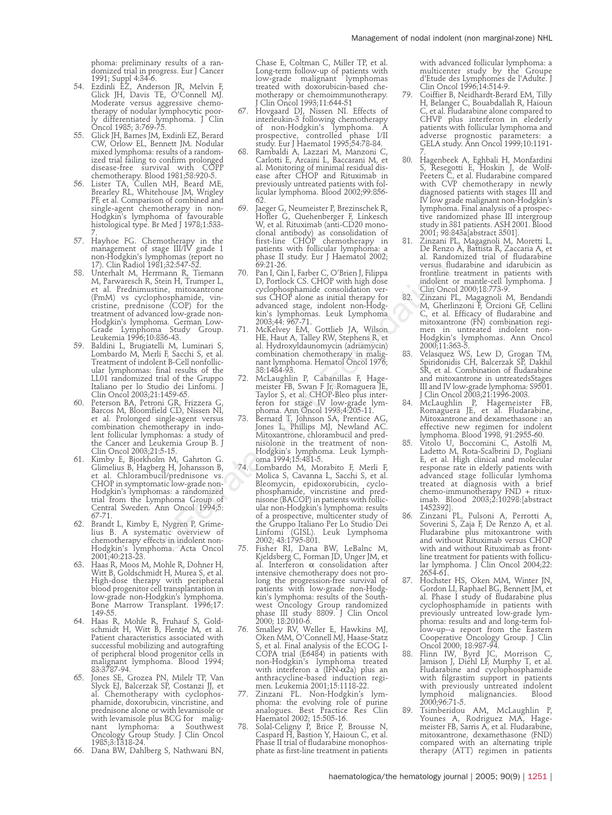phoma: preliminary results of a randomized trial in progress. Eur J Cancer

- 1991; Suppl 4:34-6. 54. Ezdinli EZ, Anderson JR, Melvin F, Glick JH, Davis TE, O'Connell MJ. Moderate versus aggressive chemotherapy of nodular lymphocytic poorly differentiated lymphoma. J Clin Oncol 1985; 3:769-75.
- 55. Glick JH, Barnes JM, Exdinli EZ, Berard CW, Orlow EL, Bennett JM. Nodular mixed lymphoma: results of a randomized trial failing to confirm prolonged
- disease-free survival with COPP chemotherapy. Blood 1981;58:920-5. 56. Lister TA, Cullen MH, Beard ME, Brearley RL, Whitehouse JM, Wrigley PF, et al. Comparison of combined and single-agent chemotherapy in non-Hodgkin's lymphoma of favourable histological type. Br Med J 1978;1:533-
- 7. 57. Hayhoe FG. Chemotherapy in the management of stage III/IV grade 1 non-Hodgkin's lymphomas (report no 17). Clin Radiol 1981;32:547-52.
- 58. Unterhalt M, Herrmann R, Tiemann M, Parwaresch R, Stein H, Trumper L, et al. Prednimustine, mitoxantrone (PmM) vs cyclophosphamide, vin-cristine, prednisone (COP) for the treatment of advanced low-grade non-Hodgkin's lymphoma. German Low-Grade Lymphoma Study Group. Leukemia 1996;10:836-43.
- 59. Baldini L, Brugiatelli M, Luminari S, Lombardo M, Merli F, Sacchi S, et al. Treatment of indolent B-Cell nonfollicular lymphomas: final results of the LL01 randomized trial of the Gruppo Italiano per lo Studio dei Linfomi. J Clin Oncol 2003;21:1459-65.
- 60. Peterson BA, Petroni GR, Frizzera G, Barcos M, Bloomfield CD, Nissen NI, et al. Prolonged single-agent versus combination chemotherapy in indolent follicular lymphomas: a study of the Cancer and Leukemia Group B. J Clin Oncol 2003;21:5-15.
- 61. Kimby E, Bjorkholm M, Gahrton G. Glimelius B, Hagberg H, Johansson B, et al. Chlorambucil/prednisone vs. CHOP in symptomatic low-grade non-Hodgkin's lymphomas: a randomized trial from the Lymphoma Group of Central Sweden. Ann Oncol 1994;5: 67-71.
- 62. Brandt L, Kimby E, Nygren P, Grime-lius B. A systematic overview of chemotherapy effects in indolent non-Hodgkin's lymphoma. Acta Oncol 2001;40:213-23.
- 63. Haas R, Moos M, Mohle R, Dohner H, Witt B, Goldschmidt H, Murea S, et al. High-dose therapy with peripheral blood progenitor cell transplantation in low-grade non-Hodgkin's lymphoma. Bone Marrow Transplant. 1996;17: 149-55.
- 64. Haas R, Mohle R, Fruhauf S, Gold-schmidt H, Witt B, Flentje M, et al. Patient characteristics associated with successful mobilizing and autografting of peripheral blood progenitor cells in malignant lymphoma. Blood 1994; 83:3787-94.
- 65. Jones SE, Grozea PN, Milelr TP, Van Slyck EJ, Balcerzak SP, Costanzi JJ, et al. Chemotherapy with cyclophosphamide, doxorubicin, vincristine, and prednisone alone or with levamisole or with levamisole plus BCG for malignant lymphoma: a Southwest Oncology Group Study. J Clin Oncol 1985;3:1318-24.
- 66. Dana BW, Dahlberg S, Nathwani BN,

Chase E, Coltman C, Miller TP, et al. Long-term follow-up of patients with low-grade malignant lymphomas treated with doxorubicin-based chemotherapy or chemoimmunotherapy. Clin Oncol 1993;11:644-51

- 67. Hovgaard DJ, Nissen NI. Effects of interleukin-3 following chemotherapy of non-Hodgkin's lymphoma. A prospective, controlled phase I/II study. Eur J Haematol 1995;54:78-84.
- 68. Rambaldi A, Lazzari M, Manzoni C, Carlotti E, Arcaini L, Baccarani M, et al. Monitoring of minimal residual dis-ease after CHOP and Rituximab in previously untreated patients with follicular lymphoma. Blood 2002;99:856-62.
- 69. Jaeger G, Neumeister P, Brezinschek R, Hofler G, Quehenberger F, Linkesch W, et al. Rituximab (anti-CD20 monoclonal antibody) as consolidation of first-line CHOP chemotherapy in patients with follicular lymphoma: a phase II study. Eur J Haematol 2002; 69:21-26.
- 70. Pan I, Qin I, Farber C, O'Brien J, Filippa D, Portlock CS. CHOP with high dose cyclophosphamide consolidation ver-sus CHOP alone as initial therapy for advanced stage, indolent non-Hodgkin's lymphomas. Leuk Lymphoma 2003;44: 967-71.
- 71. McKelvey EM, Gottlieb JA, Wilson HE, Haut A, Talley RW, Stephens R, et al. Hydroxyldaunomycin (adriamycin) combination chemotherapy in malig-nant lymphoma. Hematol Oncol 1976; 38:1484-93.
- 72. McLaughlin P, Cabanillas F, Hagemeister FB, Swan F Jr, Romaguera JE, Taylor S, et al. CHOP-Bleo plus interferon for stage IV low-grade lym-phoma. Ann Oncol 1993;4:205-11.
- 73. Bernard T, Johnson SA, Prentice AG, Jones L, Phillips MJ, Newland AC. Mitoxantrone, chlorambucil and pred-nisolone in the treatment of non-Hodgkin's lymphoma. Leuk Lymph-oma 1994;15:481-5.
- 74. Lombardo M, Morabito F, Merli F, Molica S, Cavanna L, Sacchi S, et al. Bleomycin, epidoxorubicin, cyclo-phosphamide, vincristine and prednisone (BACOP) in patients with follicular non-Hodgkin's lymphoma: results of a prospective, multicenter study of the Gruppo Italiano Per Lo Studio Dei Linfomi (GISL). Leuk Lymphoma 2002; 43:1795-801. 75. Fisher RI, Dana BW, LeBalnc M, Nelligite  $32:34-36-7-26$  or the content of the policies of the main R, Tiemann 70. Pan I, Durchcok CS. CHOP with high dose indeleter in the content in the stortine intensity in the store of the store of the store of the
	- Kjeldsberg C, Forman JD, Unger JM, et al. Interferon  $\alpha$  consolidation after intensive chemotherapy does not prolong the progression-free survival of patients with low-grade non-Hodgkin's lymphoma: results of the Southwest Oncology Group randomized phase III study 8809. J Clin Oncol 2000; 18:2010-6.
	- 76. Smalley RV, Weller E, Hawkins MJ, Oken MM, O'Connell MJ, Haase-Statz S, et al. Final analysis of the ECOG I-COPA trial (E6484) in patients with non-Hodgkin's lymphoma treated with interferon a (IFN-a2a) plus an anthracycline-based induction regi-
	- men. Leukemia 2001;15:1118-22. 77. Zinzani PL. Non-Hodgkin's lymphoma: the evolving role of purine analogues. Best Practice Res Clin Haematol 2002; 15:505-16. 78. Solal-Celigny P, Brice P, Brousse N, Caspard H, Bastion Y, Haioun C, et al.
	- Phase II trial of fludarabine monophosphate as first-line treatment in patients

with advanced follicular lymphoma: a multicenter study by the Groupe d'Etude des Lymphomes de l'Adulte. J Clin Oncol 1996;14:514-9.

- Coiffier B, Neidhardt-Berard EM, Tilly H, Belanger C, Bouabdallah R, Haioun C, et al. Fludarabine alone compared to CHVP plus interferon in elederly patients with follicular lymphoma and adverse prognostic parameters: a GELA study. Ann Oncol 1999;10:1191-
- 7. 80. Hagenbeek A, Eghbali H, Monfardini S, Resegotti E, Hoskin J, de Wolf-Peeters C, et al. Fludarabine compared with CVP chemotherapy in newly diagnosed patients with stages III and IV low grade malignant non-Hodgkin's lymphoma. Final analysis of a prospective randomized phase III intergroup study in 381 patients. ASH 2001. Blood 2001; 98:843a[abstract 3501].
- 81. Zinzani PL, Magagnoli M, Moretti L, De Renzo A, Battista R, Zaccaria A, et al. Randomized trial of fludarabine versus fludarabine and idarubicin as frontline treatment in patients with indolent or mantle-cell lymphoma. J Clin Oncol 2000;18:773-9.
- 82. Zinzani PL, Magagnoli M, Bendandi M, Gherlinzoni F, Orcioni GF, Cellini C, et al. Efficacy of fludarabine and mitoxantrone (FN) combination regi-men in untreated indolent non-Hodgkin's lymphomas. Ann Oncol 2000;11:363-5.
- 83. Velasquez WS, Lew D, Grogan TM, Spiridonidis CH, Balcerzak SP, Dakhil SR, et al. Combination of fludarabine and mitoxantrone in untreatedsStages III and IV low-grade lymphoma: S9501. J Clin Oncol 2003;21:1996-2003.
- 84. McLaughlin P, Hagemeister FB, Romaguera JE, et al. Fludarabine, Mitoxantrone and dexamethasone : an effective new regimen for indolent lymphoma. Blood 1998, 91:2955-60.
- 85. Vitolo U, Boccomini C, Astolfi M, Ladetto M, Rota-Scalbrini D, Pogliani E, et al. High clinical and molecular response rate in elderly patients with advanced stage follicular lymhoma treated at diagnosis with a brief chemo-immunotherapy FND + ritux-imab. Blood 2003;2:10298:[abstract
- 1452392]. 86. Zinzani PL, Pulsoni A, Perrotti A, Soverini S, Zaja F, De Renzo A, et al. Fludarabine plus mitoxantrone with and without Rituximab versus CHOP with and without Rituximab as frontline treatment for patients with follicu-lar lymphoma. J Clin Oncol 2004;22: 2654-61.
- Hochster HS, Oken MM, Winter JN, Gordon LI, Raphael BG, Bennett JM, et al. Phase I study of fludarabine plus cyclophosphamide in patients with previously untreated low-grade lymphoma: results and and long-term follow-up--a report from the Eastern Cooperative Oncology Group. J Clin Oncol 2000; 18:987-94.
- 88. Flinn IW, Byrd JC, Morrison C, Jamison J, Diehl LF, Murphy T, et al. Fludarabine and cyclophosphamide with filgrastim support in patients with previously untreated indolent<br>lymphoid malignancies. Blood malignancies. 2000;96:71-5.
- 89. Tsimberidou AM, McLaughlin P, Younes A, Rodriguez MA, Hagemeister FB, Sarris A, et al. Fludarabine, mitoxantrone, dexamethasone (FND) compared with an alternating triple therapy (ATT) regimen in patients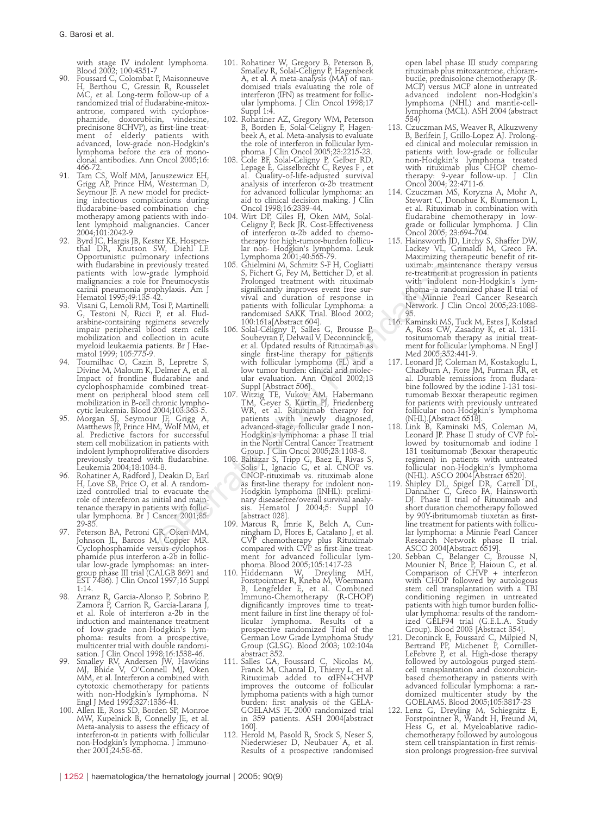with stage IV indolent lymphoma. Blood 2002; 100:4351-7

- Foussard C, Colombat P, Maisonneuve H, Berthou C, Gressin R, Rousselet MC, et al. Long-term follow-up of a randomized trial of fludarabine-mitoxantrone, compared with cyclophosphamide, doxorubicin, vindesine, prednisone 8CHVP), as first-line treatment of elderly patients with advanced, low-grade non-Hodgkin's lymphoma before the era of monoclonal antibodies. Ann Oncol 2005;16: 466-72.
- 91. Tam CS, Wolf MM, Januszewicz EH, Grigg AP, Prince HM, Westerman D, Seymour JF. A new model for predicting infectious complications during fludarabine-based combination chemotherapy among patients with indolent lymphoid malignancies. Cancer 2004;101:2042-9.
- 92. Byrd JC, Hargis JB, Kester KE, Hospenthal DR, Knutson SW, Diehl' LF. Opportunistic pulmonary infections with fludarabine in previously treated patients with low-grade lymphoid malignancies: a role for Pneumocystis carinii pneumonia prophylaxis. Am J Hematol 1995;49:135-42.
- 93. Visani G, Lemoli RM, Tosi P, Martinelli G, Testoni N, Ricci P, et al. Fludarabine-containing regimens severely impair peripheral blood stem cells mobilization and collection in acute myeloid leukaemia patients. Br J Hae-
- matol 1999; 105:775-9. 94. Tournilhac O, Cazin B, Lepretre S, Divine M, Maloum K, Delmer A, et al. Impact of frontline fludarabine and cyclophosphamide combined treat-ment on peripheral blood stem cell mobilization in B-cell chronic lymphocytic leukemia. Blood 2004;103:363-5.
- 95. Morgan SJ, Seymour JF, Grigg A, Matthews JP, Prince HM, Wolf MM, et al. Predictive factors for successful stem cell mobilization in patients with indolent lymphoproliferative disorders previously treated with fludarabine. Leukemia 2004;18:1034-8.
- Rohatiner A, Radford J, Deakin D, Earl H, Love SB, Price O, et al. A random-ized controlled trial to evacuate the role of intereferon as initial and maintenance therapy in patients with follic-ular lymphoma. Br J Cancer 2001;85: 29-35.
- 97. Peterson BA, Petroni GR, Oken MM, Johnson JL, Barcos M, Copper MR. Cyclophosphamide versus cyclophosphamide plus interferon a-2b in follicular low-grade lymphomas: an intergroup phase III trial (CALGB 8691 and EST 7486). J Clin Oncol 1997;16 Suppl 1:14.
- 98. Arranz R, Garcia-Alonso P, Sobrino P, Zamora P, Carrion R, Garcia-Larana J, et al. Role of interferon a-2b in the induction and maintenance treatment of low-grade non-Hodgkin's lymphoma: results from a prospective, multicenter trial with double randomi-
- sation. J Clin Oncol 1998;16:1538-46. 99. Smalley RV, Andersen JW, Hawkins MJ, Bhide V, O'Connell MJ, Oken MM, et al. Interferon a combined with cytotoxic chemotherapy for patients with non-Hodgkin's lymphoma. N Engl J Med 1992;327:1336-41.
- 100. Allen IE, Ross SD, Borden SP, Monroe MW, Kupelnick B, Connelly JE, et al. Meta-analysis to assess the efficacy of interferon- $\alpha$  in patients with follicular non-Hodgkin's lymphoma. J Immunother 2001;24:58-65.
- 101. Rohatiner W, Gregory B, Peterson B, Smalley R, Solal-Celigny P, Hagenbeek A, et al. A meta-analysis (MA) of randomised trials evaluating the role of interferon (IFN) as treatment for follicular lymphoma. J Clin Oncol 1998;17 Suppl 1:4.
- 102. Rohatiner AZ, Gregory WM, Peterson B, Borden E, Solal-Celigny P, Hagenbeek A, et al. Meta-analysis to evaluate the role of interferon in follicular lym-
- phoma. J Clin Oncol 2005;23:2215-23. 103. Cole BF, Solal-Celigny P, Gelber RD, Lepage E, Gisselbrecht C, Reyes F , et al. Quality-of-life-adjusted survival analysis of interferon  $\alpha$ -2b treatment for advanced follicular lymphoma: an aid to clinical decision making. J Clin Oncol 1998;16:2339-44.
- 104. Wirt DP, Giles FJ, Oken MM, Solal-Celigny P, Beck JR. Cost-Effectiveness of interferon  $\alpha$ -2b added to chemotherapy for high-tumor-burden follicular non- Hodgkin's lymphoma. Leuk Lymphoma 2001;40:565-79.
- 105. Ghielmini M, Schmitz S-F H, Cogliatti S, Pichert G, Fey M, Betticher D, et al. Prolonged treatment with rituximab significantly improves event free survival and duration of response in patients with follicular Lymphoma: a randomised SAKK Trial. Blood 2002;
- 100:161a[Abstract 604]. 106. Solal-Céligny P, Salles G, Brousse P, Soubeyran P, Delwail V, Deconninck E, et al. Updated results of Rituximab as single first-line therapy for patients with follicular lymphoma (FL) and a low tumor burden: clinical and molec-ular evaluation. Ann Oncol 2002;13
- Suppl [Abstract 506]. 107. Witzig TE, Vukov AM, Habermann TM, Geyer S, Kurtin PJ, Friedenberg WR, et al. Rituximab therapy for patients with newly diagnosed, advanced-stage, follicular grade I non-Hodgkin's lymphoma: a phase II trial in the North Central Cancer Treatment
- Group. J Clin Oncol 2005;23:1103-8. 108. Baltazar S, Tripp G, Baez E, Rivas S, Solis L, Ignacio G, et al. CNOP vs. CNOP-rituximab vs. rituximab alone as first-line therapy for indolent non-Hodgkin lymphoma (INHL): preliminary diseasefree/overall survival analy-sis. Hematol J 2004;5: Suppl 10 [abstract 028]. evivolisy traced 100. Shirimin M, Schmitz N. Straiting (mathemole mathemole and denoted trace in the Mindole and Front and The storting in the Mindole (trace in the Mindole 12.<br>1. Straiting and the storting of the minimal
	- 109. Marcus R, Imrie K, Belch A, Cun-ningham D, Flores E, Catalano J, et al. CVP chemotherapy plus Rituximab compared with CVP as first-line treatment for advanced follicular lymphoma. Blood 2005;105:1417-23
	- 110. Hiddemann W, Dreyling MH, Forstpointner R, Kneba M, Woermann B, Lengfelder E, et al. Combined<br>Immuno-Chemotherapy (R-CHOP) Immuno-Chemotherapy dignificantly improves time to treatment failure in first line therapy of follicular lymphoma. Results of prospective randomized Trial of the German Low Grade Lymphoma Study Group (GLSG). Blood 2003; 102:104a abstract 352.
	- 111. Salles GA, Foussard C, Nicolas M, Franck M, Chantal D, Thierry L, et al. Rituximab added to aIFN+CHVP improves the outcome of follicular lymphoma patients with a high tumor burden: first analysis of the GELA-GOELAMS FL-2000 randomized trial in 359 patients. ASH 2004[abstract 160].
	- 112. Herold M, Pasold R, Srock S, Neser S, Niederwieser D, Neubauer A, et al. Results of a prospective randomised

open label phase III study comparing rituximab plus mitoxantrone, chlorambucile, prednisolone chemotherapy (R-MCP) versus MCP alone in untreated advanced indolent non-Hodgkin's lymphoma (NHL) and mantle-celllymphoma (MCL). ASH 2004 (abstract 584)

- 113. Czuczman MS, Weaver R, Alkuzweny B, Berlfein J, Grillo-Lopez AJ. Prolonged clinical and molecular remission in patients with low-grade or follicular non-Hodgkin's lymphoma treated with rituximab plus CHOP chemo-therapy: 9-year follow-up. J Clin Oncol 2004; 22:4711-6.
- 114. Czuczman MS, Koryzna A, Mohr A, Stewart C, Donohue K, Blumenson I et al. Rituximab in combination with fludarabine chemotherapy in lowgrade or follicular lymphoma. J Clin Oncol 2005; 23:694-704.
- 115. Hainsworth JD, Litchy S, Shaffer DW, Lackey VL, Grimaldi M, Greco FA. Maximizing therapeutic benefit of rituximab: maintenance therapy versus re-treatment at progression in patients with indolent non-Hodgkin's lymphoma--a randomized phase II trial of the Minnie Pearl Cancer Research Network. J Clin Oncol 2005;23:1088- 95.
- 116. Kaminski MS, Tuck M, Estes J, Kolstad A, Ross CW, Zasadny K, et al. 131Itositumomab therapy as initial treatment for follicular lymphoma. N Engl J Med 2005;352:441-9.
- 117. Leonard JP, Coleman M, Kostakoglu L, Chadburn A, Fiore JM, Furman RR, et al. Durable remissions from fludarabine followed by the iodine I-131 tositumomab Bexxar therapeutic regimen for patients with previously untreated follicular non-Hodgkin's lymphoma
- (NHL).[Abstract 6518]. 118. Link B, Kaminski MS, Coleman M, Leonard JP. Phase II study of CVP followed by tositumomab and iodine I 131 tositumomab (Bexxar therapeutic regimen) in patients with untreated follicular non-Hodgkin's lymphoma (NHL). ASCO 2004[Abstract 6520].
- 119. Shipley DL, Spigel DR, Carrell DL, Dannaher C, Greco FA, Hainsworth DJ. Phase II trial of Rituximab and short duration chemotherapy followed by 90Y-ibritumomab tiuxetan as firstline treatment for patients with follicular lymphoma: a Minnie Pearl Cancer Research Network phase II trial. ASCO 2004[Abstract 6519].
- 120. Sebban C, Belanger C, Brousse N, Mounier N, Brice P, Haioun C, et al. Comparison of CHVP + interferon with CHOP followed by autologous stem cell transplantation with a TBI conditioning regimen in untreated patients with high tumor burden follicular lymphoma: results of the randomized GELF94 trial (G.E.L.A. Study Group). Blood 2003 [Abstract 354].
- 121. Deconinck E, Foussard C, Milpied N, Bertrand PP, Michenet P, Cornillet-LeFebvre P, et al. High-dose therapy followed by autologous purged stemcell transplantation and doxorubicinbased chemotherapy in patients with advanced follicular lymphoma: a randomized multicenter study by the GOELAMS. Blood 2005;105:3817-23
- 122. Lenz G, Dreyling M, Schiegnitz E, Forstpointner R, Wandt H, Freund M, Hess G, et al. Myeloablative radio-chemotherapy followed by autologous stem cell transplantation in first remission prolongs progression-free survival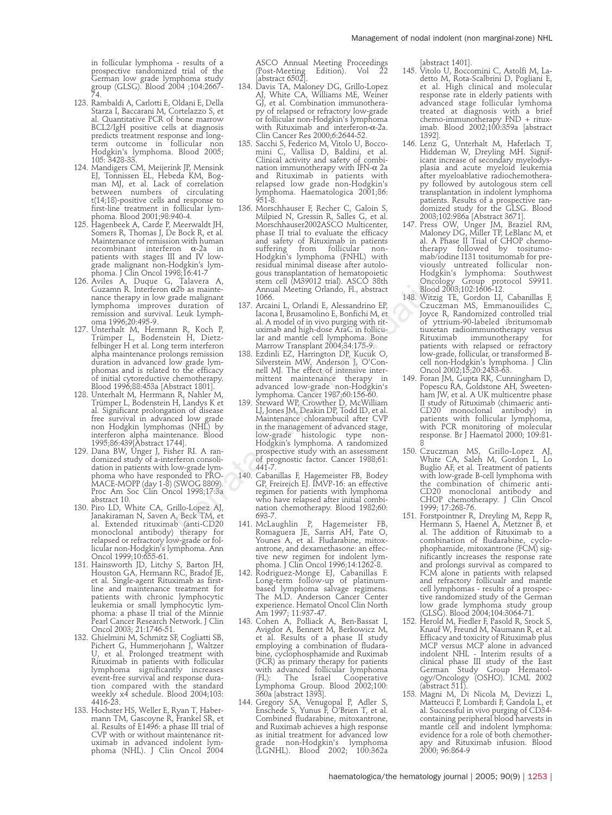in follicular lymphoma - results of a prospective randomized trial of the German low grade lymphoma study group (GLSG). Blood 2004 ;104:2667- 74.

- 123. Rambaldi A, Carlotti E, Oldani E, Della Starza I, Baccarani M, Cortelazzo S, et Quantitative PCR of bone marrow BCL2/IgH positive cells at diagnosis predicts treatment response and long-term outcome in follicular non Hodgkin's lymphoma. Blood 2005; 105: 3428-33.
- 124. Mandigers CM, Meijerink JP, Mensink EJ, Tonnissen EL, Hebeda KM, Bogman MJ, et al. Lack of correlation between numbers of circulating t(14;18)-positive cells and response to first-line treatment in follicular lymphoma. Blood 2001;98:940-4.
- 125. Hagenbeek A, Carde P, Meerwaldt JH, Somers R, Thomas J, De Bock R, et al. Maintenance of remission with human recombinant interferon  $\alpha$ -2a patients with stages III and IV lowgrade malignant non-Hodgkin's lymphoma. J Clin Oncol 1998<u>;</u>16:41-7
- 126. Aviles A, Duque G, Talavera A, Guzamn R. Interferon a2b as maintenance therapy in low grade malignant lymphoma improves duration of remission and survival. Leuk Lymph-
- oma 1996;20:495-9. 127. Unterhalt M, Hermann R, Koch P, Trümper L, Bodenstein H, Dietzfelbinger H et al. Long term interferon alpha maintenance prolongs remission duration in advanced low grade lymphomas and is related to the efficacy of initial cytoreductive chemotherapy. Blood 1996;88:453a [Abstract 1801].
- 128. Unterhalt M, Herrmann R, Nahler M, Trümper L, Bodenstein H, Landys K et al. Significant prolongation of disease free survival in advanced low grade non Hodgkin lymphomas (NHL) by interferon alpha maintenance. Blood 1995;86:439[Abstract 1744].
- 129. Dana BW, Unger J, Fisher RI. A ran-domized study of a-interferon consolidation in patients with low-grade lymphoma who have responded to PRO-MACE-MOPP (day 1-8) (SWOG 8809). Proc Am Soc Clin Oncol 1998;17:3a abstract 10.
- 130. Piro LD, White CA, Grillo-Lopez AJ, Janakiraman N, Saven A, Beck TM, et al. Extended rituximab (anti-CD20 monoclonal antibody) therapy for relapsed or refractory low-grade or fol-licular non-Hodgkin's lymphoma. Ann Oncol 1999;10:655-61.
- 131. Hainsworth JD, Litchy S, Barton JH, Houston GA, Hermann RC, Bradof JE, et al. Single-agent Rituximab as firstline and maintenance treatment for patients with chronic lymphocytic leukemia or small lymphocytic lymphoma: a phase II trial of the Minnie Pearl Cancer Research Network. J Clin Oncol 2003; 21:1746-51.
- 132. Ghielmini M, Schmitz SF, Cogliatti SB, Pichert G, Hummerjohann J, Waltzer U, et al. Prolonged treatment with Rituximab in patients with follicular lymphoma significantly increases event-free survival and response duration compared with the standard weekly x4 schedule. Blood 2004;103: 4416-23.
- 133. Hochster HS, Weller E, Ryan T, Habermann TM, Gascoyne R, Frankel SR, et al. Results of E1496: a phase III trial of CVP with or without maintenance rituximab in advanced indolent lym-phoma (NHL). J Clin Oncol 2004

ASCO Annual Meeting Proceedings (Post-Meeting Edition). Vol 22 Tisco<br>(Post-Meeting<br>[abstract 6502]

- 134. Davis TA, Maloney DG, Grillo-Lopez AJ, White CA, Williams ME, Weiner GJ, et al. Combination immunotherapy of relapsed or refractory low-grade or follicular non-Hodgkin's lymphoma with Rituximab and interferon- $\alpha$ -2a. Clin Cancer Res 2000;6:2644-52.
- 135. Sacchi S, Federico M, Vitolo U, Bocco-mini C, Vallisa D, Baldini, et al. Clinical activity and safety of combination immunotherapy with IFN- $\alpha$  2a and Rituximab in patients with relapsed low grade non-Hodgkin's lymphoma. Haematologica 2001;86: 951-8.
- 136. Morschhauser F, Recher C, Galoin S, Milpied N, Gressin R, Salles G, et al. Morschhauser2002ASCO Multicenter, phase II trial to evaluate the efficacy and safety of Rituximab in patients suffering from follicular non-Hodgkin's lymphoma (FNHL) with residual minimal disease after autologous transplantation of hematopoietic stem cell (M39012 trial). ASCO 38th Annual Meeting Orlando, Fl., abstract 1066.
- 137. Arcaini L, Orlandi E, Alessandrino EP, Iacona I, Brusamolino E, Bonfichi M, et al. A model of in vivo purging with rituximab and high-dose AraC in follicular and mantle cell lymphoma. Bone Marrow Transplant 2004;34:175-9.
- 138. Ezdinli EZ, Harrington DP, Kucuk O, Silverstein MW, Anderson J, O'Connell MJ. The effect of intensive inter-mittent maintenance therapy in advanced low-grade non-Hodgkin's lymphoma. Cancer 1987;60:156-60.
- 139. Steward WP, Crowther D, McWilliam LJ, Jones JM, Deakin DP, Todd ID, et al. Maintenance chlorambucil after CVP in the management of advanced stage, low-grade histologic type non-Hodgkin's lymphoma. A randomized prospective study with an assessment of prognostic factor. Cancer 1988;61: 441-7. 1001<br>Find Strains Storting (ESP) and minimal disease atter autologic conference and the conclogion<br>Fig. (13199;16:41-7 gous tansplantation of hematopoietic concloge<br>from ozlogic metropoietic concloge minimal Meeting Orland
	- 140. Cabanillas F, Hagemeister FB, Bodey GP, Freireich EJ. IMVP-16: an effective regimen for patients with lymphoma who have relapsed after initial combination chemotherapy. Blood 1982;60: 693-7.
	- 141. McLaughlin P, Hagemeister FB, Romaguera JE, Sarris AH, Pate O, Younes A, et al. Fludarabine, mitoxantrone, and dexamethasone: an effective new regimen for indolent lymphoma. J Clin Oncol 1996;14:1262-8.
	- 142. Rodriguez-Monge EJ, Cabanillas F. Long-term follow-up of platinumbased lymphoma salvage regimens. The M.D. Anderson Cancer Center experience. Hematol Oncol Clin North Am 1997; 11:937-47.
	- 143. Cohen A, Polliack A, Ben-Bassat I, Avigdor A, Bennett M, Berkowicz M, et al. Results of a phase II study employing a combination of fludarabine, cyclophosphamide and Ruximab (FCR) as primary therapy for patients with advanced follicular lymphoma (FL): The Israel Cooperative Lymphoma Group. Blood 2002;100: 360a [abstract 1393].
	- 144. Gregory SA, Venugopal P, Adler S, Enschede S, Yunus F, O'Brien T, et al. Combined fludarabine, mitoxantrone, and Ruximab achieves a high response as initial treatment for advanced low grade non-Hodgkin's lymphoma (LGNHL). Blood 2002; 100:362a

- [abstract 1401]. 145. Vitolo U, Boccomini C, Astolfi M, La-detto M, Rota-Scalbrini D, Pogliani E, et al. High clinical and molecular response rate in elderly patients with advanced stage follicular lymhoma treated at diagnosis with a brief chemo-immunotherapy FND + ritux-imab. Blood 2002;100:359a [abstract 1392].
- 146. Lenz G, Unterhalt M, Haferlach T, Hiddeman W, Dreyling MH. Significant increase of secondary myelodysplasia and acute myeloid leukemia after myeloablative radiochemotherapy followed by autologous stem cell transplantation in indolent lymphoma patients. Results of a prospective randomized study for the GLSG. Blood 2003;102:986a [Abstract 3671].
- 147. Press OW, Unger JM, Braziel RM, Maloney DG, Miller TP, LeBlanc M, et al. A Phase II Trial of CHOP chemotherapy followed by tositumomab/iodine I131 tositumomab for previously untreated follicular non-Hodgkin's lymphoma: Southwest Oncology Group protocol S9911. Blood 2003;102:1606-12.
- 148. Witzig TE, Gordon LI, Cabanillas F, Czuczman MS, Emmanouilides C, Joyce R, Randomized controlled trial of yttrium-90-labeled ibritumomab tiuxetan radioimmunotherapy versus Rituximab immunotherapy for patients with relapsed or refractory low-grade, follicular, or transformed B-cell non-Hodgkin's lymphoma. J Clin Oncol 2002;15;20:2453-63.
- 149. Foran JM, Gupta RK, Cunningham D, Popescu RA, Goldstone AH, Sweeten-ham JW, et al. A UK multicentre phase II study of Rituximab (chimaeric anti-CD20 monoclonal antibody) in patients with follicular lymphoma, with PCR monitoring of molecular response. Br J Haematol 2000; 109:81-
- 8 150. Czuczman MS, Grillo-Lopez AJ, White CA, Saleh M, Gordon L, Lo Buglio AF, et al. Treatment of patients with low-grade B-cell lymphoma with the combination of chimeric anti-CD20 monoclonal antibody and CHOP chemotherapy. J Clin Oncol 1999; 17:268-76. 151. Forstpointner R, Dreyling M, Repp R,
- Hermann S, Haenel A, Metzner B, et al. The addition of Rituximab to a combination of fludarabine, cyclophophamide, mitoxantrone (FCM) significantly increases the response rate and prolongs survival as compared to FCM alone in patients with relapsed and refractory follicualr and mantle cell lymphomas - results of a prospec-tive randomized study of the German low grade lymphoma study group (GLSG). Blood 2004;104:3064-71.
- 152. Herold M, Fiedler F, Pasold R, Srock S, Knauf W, Freund M, Naumann R, et al. Efficacy and toxicity of Rituximab plus MCP versus MCP alone in advanced indolent NHL - Interim results of a clinical phase III study of the East German Study Group Hematol-ogy/Oncology (OSHO). ICML 2002
- (abstract 511). 153. Magni M, Di Nicola M, Devizzi L, Matteucci P, Lombardi F, Gandola L, et al. Successful in vivo purging of CD34 containing peripheral blood harvests in mantle cell and indolent lymphoma: evidence for a role of both chemotherapy and Rituximab infusion. Blood 2000; 96:864-9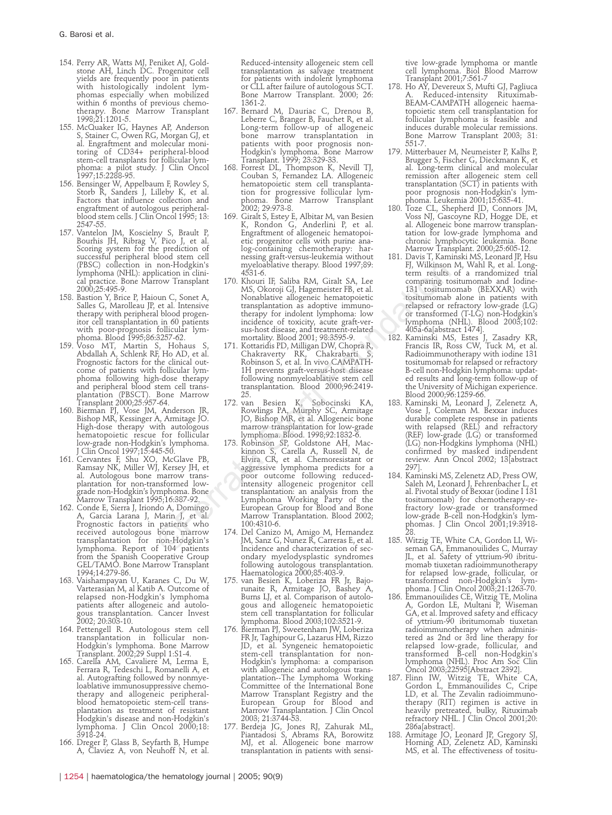- 154. Perry AR, Watts MJ, Peniket AJ, Gold-stone AH, Linch DC. Progenitor cell yields are frequently poor in patients with histologically indolent lymphomas especially when mobilized within 6 months of previous chemotherapy. Bone Marrow Transplant 1998;21:1201-5.
- 155. McQuaker IG, Haynes AP, Anderson S, Stainer C, Owen RG, Morgan GJ, et al. Engraftment and molecular monitoring of CD34+ peripheral-blood stem-cell transplants for follicular lymphoma: a pilot study. J Clin Oncol 1997;15:2288-95.
- 156. Bensinger W, Appelbaum F, Rowley S, Storb R, Sanders J, Lilleby K, et al. Factors that influence collection and engraftment of autologous peripheralblood stem cells. J Clin Oncol 1995; 13: 2547-55.
- 157. Vantelon JM, Koscielny S, Brault P, Bourhis JH, Ribrag V, Pico J, et al. Scoring system for the prediction of successful peripheral blood stem cell (PBSC) collection in non-Hodgkin's lymphoma (NHL): application in clinical practice. Bone Marrow Transplant 2000;25:495-9.
- 158. Bastion Y, Brice P, Haioun C, Sonet A, Salles G, Marolleau JP, et al. Intensive therapy with peripheral blood progenitor cell transplantation in 60 patients with poor-prognosis follicular lym-
- phoma. Blood 1995;86:3257-62. 159. Voso MT, Martin S, Hohaus S, Abdallah A, Schlenk RF, Ho AD, et al. Prognostic factors for the clinical outcome of patients with follicular lym-phoma following high-dose therapy and peripheral blood stem cell trans-plantation (PBSCT). Bone Marrow
- Transplant 2000;25:957-64. 160. Bierman PJ, Vose JM, Anderson JR, Bishop MR, Kessinger A, Armitage JO. High-dose therapy with autologous
- hematopoietic rescue for follicular<br>
low-grade non-Hodgkin's lymphoma.<br>
J Clin Oncol 1997;15:445-50.<br>
161. Cervantes F, Shu XO, McGlave PB,<br>
Ramsay NK, Miller WJ, Kersey JH, et<br>
al. Autologous bone marrow transplantation for non-transformed lowgrade non-Hodgkin's lymphoma. Bone Marrow Transplant 1995;16:387-92.
- 162. Conde E, Sierra J, Iriondo A, Domingo A, Garcia Larana J, Marin J, et al. Prognostic factors in patients who received autologous bone marrow transplantation for non-Hodgkin's lymphoma. Report of 104 patients from the Spanish Cooperative Group GEL/TAMO. Bone Marrow Transplant 1994;14:279-86.
- 163. Vaishampayan U, Karanes C, Du W, Varterasian M, al Katib A. Outcome of relapsed non-Hodgkin's lymphoma patients after allogeneic and autologous transplantation. Cancer Invest 2002; 20:303-10.
- 164. Pettengell R. Autologous stem cell transplantation in follicular non-Hodgkin's lymphoma. Bone Marrow Transplant. 2002;29 Suppl 1:S1-4.
- 165. Carella AM, Cavaliere M, Lerma E Ferrara R, Tedeschi L, Romanelli A, et al. Autografting followed by nonmyeloablative immunosuppressive chemotherapy and allogeneic peripheralblood hematopoietic stem-cell transplantation as treatment of resistant Hodgkin's disease and non-Hodgkin's lymphoma. J Clin Oncol 2000;18: 3918-24.
- 166. Dreger P, Glass B, Seyfarth B, Humpe A, Claviez A, von Neuhoff N, et al.

Reduced-intensity allogeneic stem cell transplantation as salvage treatment for patients with indolent lymphoma or CLL after failure of autologous SCT. Bone Marrow Transplant. 2000; 26: 1361-2.

- 167. Bernard M, Dauriac C, Drenou B, Leberre C, Branger B, Fauchet R, et al. Long-term follow-up of allogeneic bone marrow transplantation in patients with poor prognosis non-Hodgkin's lymphoma. Bone Marrow Transplant. 1999; 23:329-33.
- 168. Forrest DL, Thompson K, Nevill TJ, Couban S, Fernandez LA. Allogeneic hematopoietic stem cell transplantation for progressive follicular lym-phoma. Bone Marrow Transplant 2002; 29:973-8.
- 169. Giralt S, Estey E, Albitar M, van Besien K, Rondon G, Anderlini P, et al. Engraftment of allogeneic hematopoietic progenitor cells with purine analog-containing chemotherapy: harnessing graft-versus-leukemia without myeloablative therapy. Blood 1997;89: 4531-6.
- 170. Khouri IF, Saliba RM, Giralt SA, Lee MS, Okoroji GJ, Hagemeister FB, et al. Nonablative allogeneic hematopoietic transplantation as adoptive immunotherapy for indolent lymphoma: low incidence of toxicity, acute graft-versus-host disease, and treatment-related mortality. Blood 2001; 98:3595-9.
- 171. Kottaridis PD, Milligan DW, Chopra R, Chakraverty RK, Chakrabarti S, Robinson S, et al. In vivo CAMPATH-1H prevents graft-versus-host disease following nonmyeloablative stem cell transplantation. Blood 2000;96:2419- 25.
- 172. van Besien K, Sobocinski KA, Rowlings PA, Murphy SC, Armitage JO, Bishop MR, et al. Allogeneic bone marrow transplantation for low-grade
- lymphoma. Blood. 1998;92:1832-6. 173. Robinson SP, Goldstone AH, Mac-kinnon S, Carella A, Russell N, de Elvira CR, et al. Chemoresistant or aggressive lymphoma predicts for a poor outcome following reducedintensity allogeneic progenitor cell transplantation: an analysis from the Lymphoma Working Party of the European Group for Blood and Bone Marrow Transplantation. Blood 2002; 100:4310-6. non-Hodgatn's myelolohisin film, Salish RM, Collinsin Foundation in thin-<br>
ileadinon in diini-<br>
film and ASJ. (Film Ralish RM, Giralt SA, Lee comparing the<br>
mates MS, Okoroji GJ, Hagemeister FB, et al. 1331 tositum<br>
out C
	- 174. Del Canizo M, Amigo M, Hernandez JM, Sanz G, Nunez R, Carreras E, et al. Incidence and characterization of secondary myelodysplastic syndromes following autologous transplantation.
	- Haematologica 2000;85:403-9. 175. van Besien K, Loberiza FR Jr, Bajorunaite R, Armitage JO, Bashey A, Burns LJ, et al. Comparison of autologous and allogeneic hematopoietic stem cell transplantation for follicular lymphoma. Blood 2003;102:3521-9. 176. Bierman PJ, Sweetenham JW, Loberiza
	- FR Jr, Taghipour G, Lazarus HM, Rizzo JD, et al. Syngeneic hematopoietic stem-cell transplantation for non-Hodgkin's lymphoma: a comparison with allogeneic and autologous trans-plantation--The Lymphoma Working Committee of the International Bone Marrow Transplant Registry and the European Group for Blood and Marrow Transplantation. J Clin Oncol 2003; 21:3744-53.
	- 177. Berdeja JG, Jones RJ, Zahurak ML, Piantadosi S, Abrams RA, Borowitz MJ, et al. Allogeneic bone marrow transplantation in patients with sensi-

tive low-grade lymphoma or mantle cell lymphoma. Biol Blood Marrow Transplant 2001;7:561-7

- 178. Ho AY, Devereux S, Mufti GJ, Pagliuca Reduced-intensity Rituximab-BEAM-CAMPATH allogeneic haematopoietic stem cell transplantation for follicular lymphoma is feasible and induces durable molecular remissions. Bone Marrow Transplant 2003; 31: 551-7.
- 179. Mitterbauer M, Neumeister P, Kalhs P, Brugger S, Fischer G, Dieckmann K, et al. Long-term clinical and molecular remission after allogeneic stem cell transplantation (SCT) in patients with poor prognosis non-Hodgkin's lymphoma. Leukemia 2001;15:635-41.
- 180. Toze CL, Shepherd JD, Connors JM, Voss NJ, Gascoyne RD, Hogge DE, et al. Allogeneic bone marrow transplantation for low-grade lymphoma and chronic lymphocytic leukemia. Bone Marrow Transplant. 2000;25:605-12.
- 181. Davis T, Kaminski MS, Leonard JP, Hsu FJ, Wilkinson M, Wahl R, et al. Long-term results of a rrandomized trial comparing tositumomab and Iodine-131 tositumomab (BEXXAR) with tositumomab alone in patients with relapsed or refractory low-grade (LG) or transformed (T-LG) non-Hodgkin's lymphoma (NHL). Blood 2003;102: 405a-6a[abstract 1474].
- 182. Kaminski MS, Estes J, Zasadry KR, Francis IR, Ross CW, Tuck M, et al. Radioimmunotherapy with iodine 131 tositumomab for relapsed or refractory B-cell non-Hodgkin lymphoma: updat-ed results and long-term follow-up of the University of Michigan experience. Blood 2000;96:1259-66.
- 183. Kaminski M, Leonard J, Zelenetz A, Vose J, Coleman M. Bexxar induces durable complete response in patients with relapsed (REL) and refractory (REF) low-grade (LG) or transformed (LG) non-Hodgkins lymphoma (NHL) confirmed by masked indipendent review. Ann Oncol 2002; 13[abstract 297].
- 184. Kaminski MS, Zelenetz AD, Press OW, Saleh M, Leonard J, Fehrenbacher L, et al. Pivotal study of Bexxar (iodine I 131 tositumomab) for chemotherapy-refractory low-grade or transformed low-grade B-cell non-Hodgkin's lymphomas. J Clin Oncol 2001;19:3918-
- 28. 185. Witzig TE, White CA, Gordon LI, Wi-seman GA, Emmanouilides C, Murray JL, et al. Safety of yttrium-90 ibritumomab tiuxetan radioimmunotherapy for relapsed low-grade, follicular, or transformed non-Hodgkin's lymphoma. J Clin Oncol 2003;21:1263-70.
- 186. Emmanouilides CE, Witzig TE, Molina A, Gordon LE, Multani P, Wiseman GA, et al. Improved safety and efficacy of yttrium-90 ibritumomab tiuxetan radioimmunotherapy when administered as 2nd or 3rd line therapy for relapsed low-grade, follicular, and transformed B-cell non-Hodgkin's lymphoma (NHL). Proc Am Soc Clin
- Oncol 2003;22595[Abstract 2392]. 187. Flinn IW, Witzig TE, White CA, Gordon L, Emmanouilides C, Cripe LD, et al. The Zevalin radioimmunotherapy (RIT) regimen is active in heavily pretreated, bulky, Rituximab refractory NHL. J Clin Oncol 2001;20: 286a[abstract].
- 188. Armitage JO, Leonard JP, Gregory SJ, Horning AD, Zelenetz AD, Kaminski MS, et al. The effectiveness of tositu-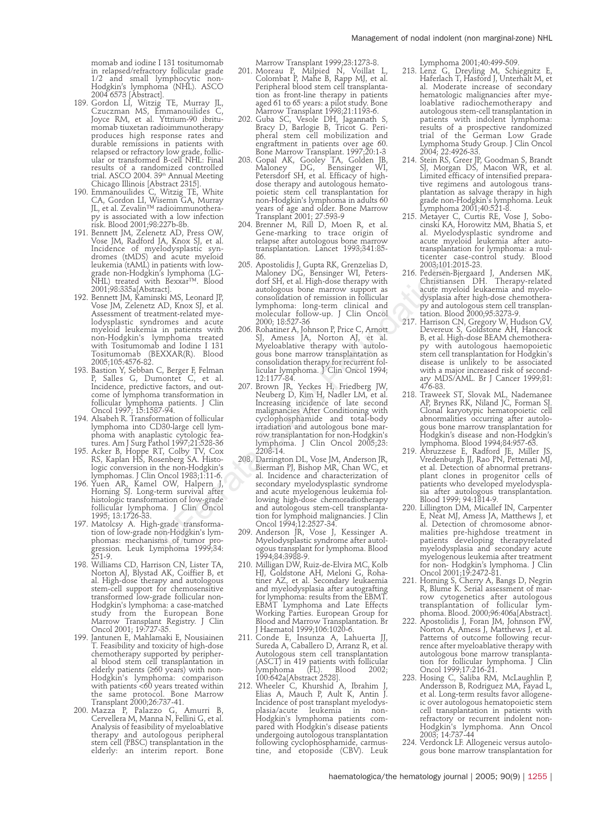momab and iodine I 131 tositumomab in relapsed/refractory follicular grade 1/2 and small lymphocytic non-Hodgkin's lymphoma (NHL). ASCO

- 2004 6573 [Abstract]. 189. Gordon LI, Witzig TE, Murray JL, Czuczman MS, Emmanouilides C, Joyce RM, et al. Yttrium-90 ibritumomab tiuxetan radioimmunotherapy produces high response rates and durable remissions in patients with relapsed or refractory low grade, follic-ular or transformed B-cell NHL: Final results of a randomized controlled trial. ASCO 2004. 39<sup>th</sup> Annual Meeting
- Chicago Illinois [Abstract 2315]. 190. Emmanouilides C, Witzig TE, White CA, Gordon LI, Wisemn GA, Murray JL, et al. Zevalin™ radioimmunotherapy is associated with a low infection risk. Blood 2001;98:227b-8b.
- 191. Bennett JM, Zelenetz AD, Press OW, Vose JM, Radford JA, Knox SJ, et al. Incidence of myelodysplastic syn-dromes (tMDS) and acute myeloid leukemia (tAML) in patients with lowgrade non-Hodgkin's lymphoma (LG-NHL) treated with Bexxar™. Blood 2001;98:335a[Abstract].
- 192. Bennett JM, Kaminski MS, Leonard JP, Vose JM, Zelenetz AD, Knox SJ, et al. Assessment of treatment-related myelodysplastic syndromes and acute myeloid leukemia in patients with non-Hodgkin's lymphoma treated with Tositumomab and Iodine I 131 Tositumomab (BEXXAR(R). Blood 2005;105:4576-82.
- 193. Bastion Y, Sebban C, Berger F, Felman P, Salles G, Dumontet C, et al. Incidence, predictive factors, and out-come of lymphoma transformation in follicular lymphoma patients. J Clin Oncol 1997; 15:1587-94.
- 194. Alsabeh R. Transformation of follicular lymphoma into CD30-large cell lymphoma with anaplastic cytologic fea-tures. Am J Surg Pathol 1997;21:528-36
- 195. Acker B, Hoppe RT, Colby TV, Cox RS, Kaplan HS, Rosenberg SA. Histologic conversion in the non-Hodgkin's lymphomas. J Clin Oncol 1983;1:11-6.
- 196. Yuen AR, Kamel OW, Halpern J, Horning SJ. Long-term survival after histologic transformation of low-grade follicular lymphoma. J Clin Oncol 1995; 13:1726-33.
- 197. Matolcsy A. High-grade transforma-tion of low-grade non-Hodgkin's lymphomas: mechanisms of tumor progression. Leuk Lymphoma 1999;34: 251-9.
- 198. Williams CD, Harrison CN, Lister TA, Norton AJ, Blystad AK, Coiffier B, et al. High-dose therapy and autologous stem-cell support for chemosensitive transformed low-grade follicular non-Hodgkin's lymphoma: a case-matched study from the European Bone Marrow Transplant Registry. J Clin Oncol 2001; 19:727-35.
- 199. Jantunen E, Mahlamaki E, Nousiainen T. Feasibility and toxicity of high-dose chemotherapy supported by peripheral blood stem cell transplantation in elderly patients (≥60 years) with non-Hodgkin's lymphoma: comparison with patients <60 years treated within the same protocol. Bone Marrow
- Transplant 2000;26:737-41. 200. Mazza P, Palazzo G, Amurri B, Cervellera M, Manna N, Fellini G, et al. Analysis of feasibility of myeloablative therapy and autologous peripheral stem cell (PBSC) transplantation in the elderly: an interim report. Bone

Marrow Transplant 1999;23:1273-8.

- 201. Moreau P, Milpied N, Voillat L, Colombat P, Mahe B, Rapp MJ, et al. Peripheral blood stem cell transplantation as front-line therapy in patients aged 61 to 65 years: a pilot study. Bone Marrow Transplant 1998;21:1193-6.
- 202. Guba SC, Vesole DH, Jagannath S, Bracy D, Barlogie B, Tricot G. Peripheral stem cell mobilization and engraftment in patients over age 60. Bone Marrow Transplant. 1997;20:1-3
- 203. Gopal AK, Gooley TA, Golden JB<br>Maloney DG, Bensinger WI Maloney DG, Bensinger WI, Petersdorf SH, et al. Efficacy of highdose therapy and autologous hematopoietic stem cell transplantation for non-Hodgkin's lymphoma in adults 60 years of age and older. Bone Marrow Transplant 2001; 27:593-9
- 204. Brenner M, Rill D, Moen R, et al. Gene-marking to trace origin of relapse after autologous bone marrow transplantation. Lancet 1993;341:85- 86.
- 205. Apostolidis J, Gupta RK, Grenzelias D, Maloney DG, Bensinger WI, Peters-dorf SH, et al. High-dose therapy with autologous bone marrow support as consolidation of remission in follicular lymphoma: long-term clinical and molecular follow-up. J Clin Oncol 2000; 18:527-36
- 206. Rohatiner A, Johnson P, Price C, Arnott SJ, Amess JA, Norton AJ, et al. Myeloablative therapy with autologous bone marrow transplantation as consolidation therapy for recurrent fol-licular lymphoma. J Clin Oncol 1994; 12:1177-84.
- 207. Brown JR, Yeckes H, Friedberg JW, Neuberg D, Kim H, Nadler LM, et al. Increasing incidence of late second malignancies After Conditioning with cyclophosphamide and total-body irradiation and autologous bone marrow transplantation for non-Hodgkin's lymphoma. J Clin Oncol 2005;23: 2208-14.
- 208. Darrington DL, Vose JM, Anderson JR, Bierman PJ, Bishop MR, Chan WC, et al. Incidence and characterization of secondary myelodysplastic syndrome and acute myelogenous leukemia following high-dose chemoradiotherapy and autologous stem-cell transplantation for lymphoid malignancies. J Clin Oncol 1994;12:2527-34. n patients with low-<br>
200. Apostoidisi J. Gupta RK, Grenziens J. 2003;<br>101 Reduces and dot Srl, et al. High-dose tenapy with Christian<br>
In Skynpam (LG-<br>
antologous bone marrow support as<br>
act al. High-dose the<br>approximati
	- 209. Anderson JR, Vose J, Kessinger A. Myelodysplastic syndrome after autologous transplant for lymphoma. Blood 1994;84:3988-9.
	- 210. Milligan DW, Ruiz-de-Elvira MC, Kolb HJ, Goldstone AH, Meloni G, Roha-tiner AZ, et al. Secondary leukaemia and myelodysplasia after autografting for lymphoma: results from the EBMT. EBMT Lymphoma and Late Effects Working Parties. European Group for Blood and Marrow Transplantation. Br J Haematol 1999;106:1020-6.
	- 211. Conde E, Insunza A, Lahuerta JJ, Sureda A, Caballero D, Arranz R, et al. Autologous stem cell transplantation (ASCT) in 419 patients with follicular lymphoma (FL). Blood 2002; 100:642a[Abstract 2528].
	- 212. Wheeler C, Khurshid A, Ibrahim J, Elias A, Mauch P, Ault K, Antin J. Incidence of post transplant myelodysplasia/acute leukemia in non-Hodgkin's lymphoma patients compared with Hodgkin's disease patients undergoing autologous transplantation following cyclophosphamide, carmus-tine, and etoposide (CBV). Leuk

Lymphoma 2001;40:499-509.

- 213. Lenz G, Dreyling M, Schiegnitz E, Haferlach T, Hasford J, Unterhalt M, et al. Moderate increase of secondary hematologic malignancies after myeloablative radiochemotherapy and autologous stem-cell transplantation in patients with indolent lymphoma: results of a prospective randomized trial of the German Low Grade Lymphoma Study Group. J Clin Oncol 2004; 22:4926-33.
- 214. Stein RS, Greer JP, Goodman S, Brandt SJ, Morgan DS, Macon WR, et al. Limited efficacy of intensified preparative regimens and autologous transplantation as salvage therapy in high grade non-Hodgkin's lymphoma. Leuk Lymphoma 2001;40:521-8.
- 215. Metayer C, Curtis RE, Vose J, Sobo-cinski KA, Horowitz MM, Bhatia S, et al. Myelodysplastic syndrome and acute myeloid leukemia after autotransplantation for lymphoma: a multicenter case-control study. Blood 2003;101:2015-23.
- 216. Pedersen-Bjergaard J, Andersen MK, Christiansen DH. Therapy-related acute myeloid leukaemia and myelodysplasia after high-dose chemotherapy and autologous stem cell transplan-tation. Blood 2000;95:3273-9.
- 217. Harrison CN, Gregory W, Hudson GV, Devereux S, Goldstone AH, Hancock B, et al. High-dose BEAM chemothera-py with autologous haemopoietic stem cell transplantation for Hodgkin's disease is unlikely to be associated with a major increased risk of second-ary MDS/AML. Br J Cancer 1999;81: 476-83.
- 218. Traweek ST, Slovak ML, Nademanee AP, Brynes RK, Niland JC, Forman S. Clonal karyotypic hematopoietic cell abnormalities occurring after autologous bone marrow transplantation for Hodgkin's disease and non-Hodgkin's lymphoma. Blood 1994;84:957-63.
- 219. Abruzzese E, Radford JE, Miller JS, Vredenburgh JJ, Rao PN, Pettenati MJ, et al. Detection of abnormal pretransplant clones in progenitor cells of patients who developed myelodyspla-sia after autologous transplantation. Blood 1999; 94:1814-9.
- 220. Lillington DM, Micallef IN, Carpenter E, Neat MJ, Amess JA, Matthews J, et al. Detection of chromosome abnormalities pre-highdose treatment in patients developing therapyrelated myelodysplasia and secondary acute myelogenous leukemia after treatment for non- Hodgkin's lymphoma. J Clin Oncol 2001;19:2472-81.
- 221. Horning S, Cherry A, Bangs D, Negrin R, Blume K. Serial assessment of marrow cytogenetics after autologous transplantation of follicular lym-phoma. Blood. 2000;96:406a[Abstract].
- 222. Apostolidis J, Foran JM, Johnson PW, Norton A, Amess J, Matthews J, et al. Patterns of outcome following recurrence after myeloablative therapy with autologous bone marrow transplantation for follicular lymphoma. J Clin
- Oncol 1999;17:216-21. 223. Hosing C, Saliba RM, McLaughlin P, Andersson B, Rodriguez MA, Fayad L, et al. Long-term results favor allogeneic over autologous hematopoietic stem cell transplantation in patients with refractory or recurrent indolent non-Hodgkin's lymphoma. Ann Oncol 2003; 14:737-44
- 224. Verdonck LF. Allogeneic versus autologous bone marrow transplantation for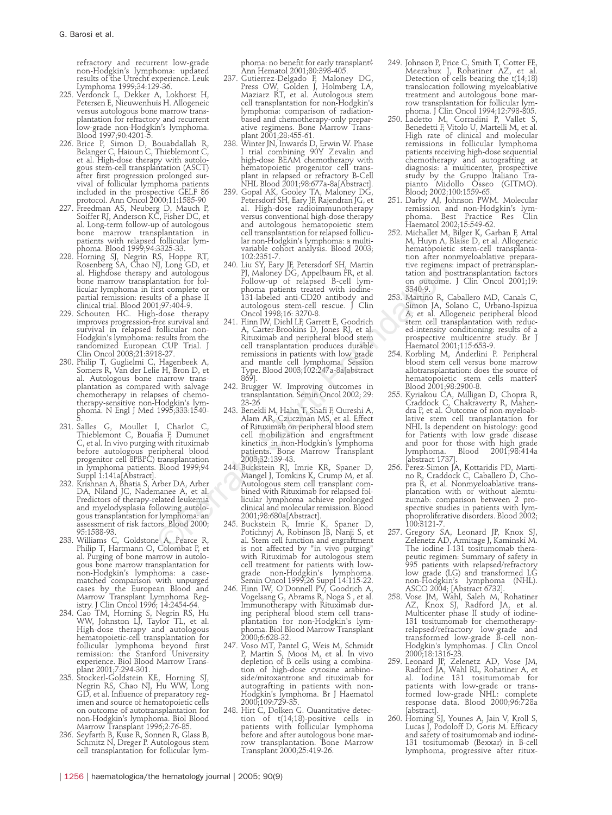refractory and recurrent low-grade non-Hodgkin's lymphoma: updated results of the Utrecht experience. Leuk Lymphoma 1999;34:129-36.

- 225. Verdonck L, Dekker A, Lokhorst H, Petersen E, Nieuwenhuis H. Allogeneic versus autologous bone marrow transplantation for refractory and recurrent low-grade non-Hodgkin's lymphoma. Blood 1997;90:4201-5.
- 226. Brice P, Simon D, Bouabdallah R, Belanger C, Haioun C, Thieblemont C, et al. High-dose therapy with autologous stem-cell transplantation (ASCT) after first progression prolonged survival of follicular lymphoma patients included in the prospective GELF 86 protocol. Ann Oncol 2000;11:1585-90
- 227. Freedman AS, Neuberg D, Mauch P, Soiffer RJ, Anderson KC, Fisher DC, et al. Long-term follow-up of autologous bone marrow transplantation in patients with relapsed follicular lymphoma. Blood 1999;94:3325-33.
- 228. Horning SJ, Negrin RS, Hoppe RT, Rosenberg SA, Chao NJ, Long GD, et al. Highdose therapy and autologous bone marrow transplantation for follicular lymphoma in first complete or partial remission: results of a phase II clinical trial. Blood 2001;97:404-9. 229. Schouten HC. High-dose therapy
- improves progression-free survival and survival in relapsed follicular non-Hodgkin's lymphoma: results from the randomized European CUP Trial. J
- Clin Oncol 2003;21:3918-27. 230. Philip T, Guglielmi C, Hagenbeek A, Somers R, Van der Lelie H, Bron D, et al. Autologous bone marrow transplantation as compared with salvage chemotherapy in relapses of chemotherapy-sensitive non-Hodgkin's lym-phoma. N Engl J Med 1995;333:1540-
- 5. 231. Salles G, Moullet I, Charlot C, Thieblemont C, Bouafia F, Dumunet C, et al. In vivo purging with rituximab before autologous peripheral blood progenitor cell 8PBPC) transplantation in lymphoma patients. Blood 1999;94 Suppl 1:141a[Abstract].
- 232. Krishnan A, Bhatia S, Arber DA, Arber DA, Niland JC, Nademanee A, et al. Predictors of therapy-related leukemia and myelodysplasia following autologous transplantation for lymphoma: an assessment of risk factors. Blood 2000; 95:1588-93.
- 233. Williams C, Goldstone A, Pearce R, Philip T, Hartmann O, Colombat P, et al. Purging of bone marrow in autologous bone marrow transplantation for non-Hodgkin's lymphoma: a casematched comparison with unpurged cases by the European Blood and Marrow Transplant Lymphoma Reg-
- istry. J Clin Oncol 1996; 14:2454-64. 234. Cao TM, Horning S, Negrin RS, Hu WW, Johnston LJ, Taylor TL, et al. High-dose therapy and autologous hematopoietic-cell transplantation for follicular lymphoma beyond first remission: the Stanford University experience. Biol Blood Marrow Trans-
- plant 2001;7:294-301. 235. Stockerl-Goldstein KE, Horning SJ, Negrin RS, Chao NJ, Hu WW, Long GD, et al. Influence of preparatory regimen and source of hematopoietic cells on outcome of autotransplantation for non-Hodgkin's lymphoma. Biol Blood Marrow Transplant 1996;2:76-85.
- 236. Seyfarth B, Kuse R, Sonnen R, Glass B, Schmitz N, Dreger P. Autologous stem cell transplantation for follicular lym-

phoma: no benefit for early transplant? Ann Hematol 2001;80:398-405.

- 237. Gutierrez-Delgado F, Maloney DG, Press OW, Golden J, Holmberg LA, Maziarz RT, et al. Autologous stem cell transplantation for non-Hodgkin's lymphoma: comparison of radiationbased and chemotherapy-only preparative regimens. Bone Marrow Transplant 2001;28:455-61.
- 238. Winter JN, Inwards D, Erwin W. Phase I trial combining 90Y Zevalin and high-dose BEAM chemotherapy with hematopoietic progenitor cell transplant in relapsed or refractory B-Cell NHL Blood 2001;98:677a-8a[Abstract].
- 239. Gopal AK, Gooley TA, Maloney DG, Petersdorf SH, Eary JF, Rajendran JG, et al. High-dose radioimmunotherapy versus conventional high-dose therapy and autologous hematopoietic stem cell transplantation for relapsed follicular non-Hodgkin's lymphoma: a multivariable cohort analysis. Blood 2003; 102:2351-7.
- 240. Liu SY, Eary JF, Petersdorf SH, Martin PJ, Maloney DG, Appelbaum FR, et al. Follow-up of relapsed B-cell lymphoma patients treated with iodine-131-labeled anti-CD20 antibody and autologous stem-cell rescue. J Clin Oncol 1998;16: 3270-8.
- 241. Flinn IW, Diehl LF, Garrett E, Goodrich A, Carter-Brookins D, Jones RJ, et al. Rituximab and peripheral blood stem cell transplantation produces durable remissions in patients with low grade and mantle cell lymphoma. Session Type. Blood 2003;102:247a-8a[abstract  $369$ ]. NJ, Long GD, et 240. Liu $\tt Y$  Exergentent Sth, Martin tue regimentation from Foundation from the and autologous FJ, Maloney DG, Appelbaum FR, et al. tation and potential transferred Book and CD20 antibox and conconnection
	- 242. Brugger W. Improving outcomes in transplantation. Semin Oncol 2002; 29: 23-26
	- 243. Benekli M, Hahn T, Shafi F, Qureshi A, Alam AR, Czuczman MS, et al. Effect of Rituximab on peripheral blood stem cell mobilization and engraftment kinetics in non-Hodgkin's lymphoma patients. Bone Marrow Transplant 2003;32:139-43.
	- 244. Buckstein RJ, Imrie KR, Spaner D, Mangel J, Tomkins K, Crump M, et al. Autologous stem cell transplant combined with Rituximab for relapsed follicular lymphoma achieve prolonged clinical and molecular remission. Blood 2001;98:680a[Abstract].
	- 245. Buckstein R, Imrie K, Spaner D, Potichnyj A, Robinson JB, Nanji S, et al. Stem cell function and engraftment is not affected by "in vivo purging" with Rituximab for autologous stem cell treatment for patients with lowgrade non-Hodgkin's lymphoma. Semin Oncol 1999;26 Suppl 14:115-22.
	- 246. Flinn IW, O'Donnell PV, Goodrich A, Vogelsang G, Abrams R, Noga S , et al. Immunotherapy with Rituximab dur-ing peripheral blood stem cell transplantation for non-Hodgkin's lymphoma. Biol Blood Marrow Transplant 2000;6:628-32.
	- 247. Voso MT, Pantel G, Weis M, Schmidt P, Martin S, Moos M, et al. In vivo depletion of B cells using a combination of high-dose cytosine arabinoside/mitoxantrone and rituximab for autografting in patients with non-Hodgkin's lymphoma. Br J Haematol 2000;109:729-35.
	- 248. Hirt C, Dolken G. Quantitative detection of t(14;18)-positive cells in patients with follicular lymphoma before and after autologous bone mar-row transplantation. Bone Marrow Transplant 2000;25:419-26.
- 249. Johnson P, Price C, Smith T, Cotter FE, Meerabux J, Rohatiner AZ, et al. Detection of cells bearing the t(14;18) translocation following myeloablative treatment and autologous bone marrow transplantation for follicular lym-
- phoma. J Clin Oncol 1994;12:798-805. 250. Ladetto M, Corradini P, Vallet S, Benedetti F, Vitolo U, Martelli M, et al. High rate of clinical and molecular remissions in follicular lymphoma patients receiving high-dose sequential chemotherapy and autografting at diagnosis: a multicenter, prospective study by the Gruppo Italiano Trapianto Midollo Osseo (GITMO). Blood; 2002;100:1559-65.
- 251. Darby AJ, Johnson PWM. Molecular remission and non-Hodgkin's lym-Best Practice Haematol 2002;15:549-62.
- 252. Michallet M, Bilger K, Garban F, Attal M, Huyn A, Blaise D, et al. Allogeneic hematopoietic stem-cell transplantation after nonmyeloablative preparative regimens: impact of pretransplantation and posttransplantation factors on outcome. J Clin Oncol 2001;19: 3340-9.
- 253. Martino R, Caballero MD, Canals C, Simon JA, Solano C, Urbano-Ispizua A, et al. Allogeneic peripheral blood stem cell transplantation with reduced-intensity conditioning: results of a prospective multicentre study. Br J Haematol 2001;115:653-9.
- 254. Korbling M, Anderlini P. Peripheral blood stem cell versus bone marrow allotransplantation: does the source of hematopoietic stem cells matter?
- Blood 2001;98:2900-8. 255. Kyriakou CA, Milligan D, Chopra R, Craddock C, Chakraverty R, Mahen-dra P, et al. Outcome of non-myeloablative stem cell transplantation for NHL Is dependent on histology: good for Patients with low grade disease and poor for those with high grade lymphoma. Blood 2001;98:414a [abstract 1737].
- 256. Perez-Simon JA, Kottaridis PD, Marti-no R, Craddock C, Caballero D, Chopra R, et al. Nonmyeloablative transplantation with or without alemtuzumab: comparison between 2 prospective studies in patients with lymphoproliferative disorders. Blood 2002; 100:3121-7.
- 257. Gregory SA, Leonard JP, Knox SJ, Zelenetz AD, Armitage J, Kaminski M. The iodine I-131 tositumomab therapeutic regimen: Summary of safety in 995 patients with relapsed/refractory low grade (LG) and transformed LG non-Hodgkin's lymphoma (NHL). ASCO 2004; [Abstract 6732].
- 258. Vose JM, Wahl, Saleh M, Rohatiner AZ, Knox SJ, Radford JA, et al. Multicenter phase II study of iodine-131 tositumomab for chemotherapyrelapsed/refractory low-grade and transformed low-grade B-cell non-Hodgkin's lymphomas. J Clin Oncol 2000;18:1316-23.
- 259. Leonard JP, Zelenetz AD, Vose JM, Radford JA, Wahl RL, Rohatiner A, et al. Iodine 131 tositumomab for patients with low-grade or trans-formed low-grade NHL: complete response data. Blood 2000;96:728a [abstract].
- 260. Horning SJ, Younes A, Jain V, Kroll S, Lucas J, Podoloff D, Goris M. Efficacy and safety of tositumomab and iodine-131 tositumomab (Bexxar) in B-cell lymphoma, progressive after ritux-